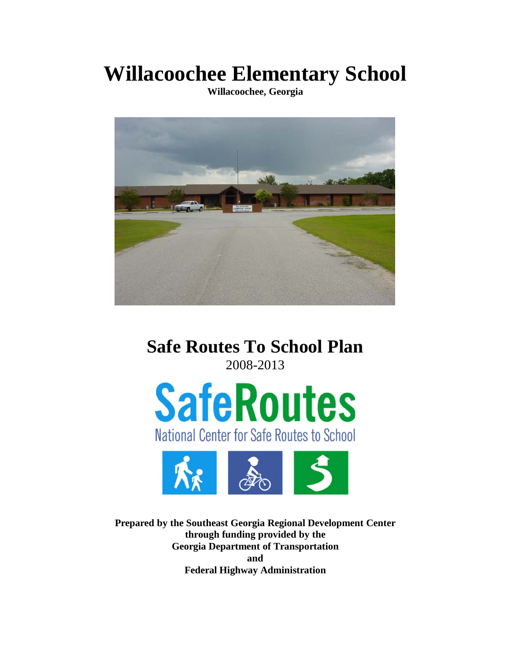**Willacoochee Elementary School**

**Willacoochee, Georgia**



**Safe Routes To School Plan** 2008-2013





**Prepared by the Southeast Georgia Regional Development Center through funding provided by the Georgia Department of Transportation and Federal Highway Administration**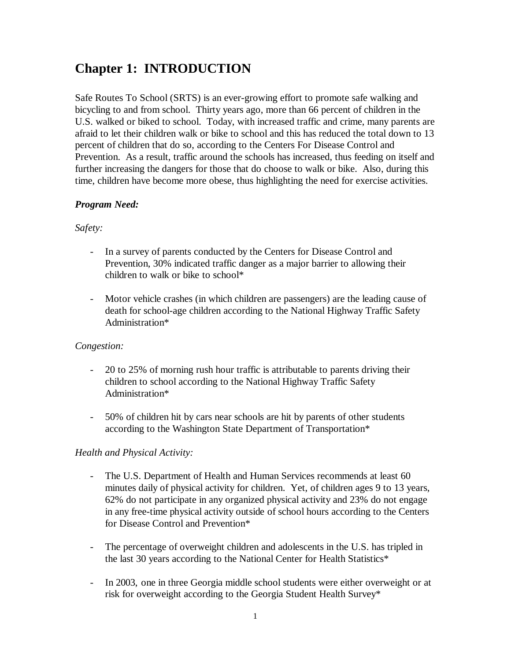# **Chapter 1: INTRODUCTION**

Safe Routes To School (SRTS) is an ever-growing effort to promote safe walking and bicycling to and from school. Thirty years ago, more than 66 percent of children in the U.S. walked or biked to school. Today, with increased traffic and crime, many parents are afraid to let their children walk or bike to school and this has reduced the total down to 13 percent of children that do so, according to the Centers For Disease Control and Prevention. As a result, traffic around the schools has increased, thus feeding on itself and further increasing the dangers for those that do choose to walk or bike. Also, during this time, children have become more obese, thus highlighting the need for exercise activities.

### *Program Need:*

### *Safety:*

- In a survey of parents conducted by the Centers for Disease Control and Prevention, 30% indicated traffic danger as a major barrier to allowing their children to walk or bike to school\*
- Motor vehicle crashes (in which children are passengers) are the leading cause of death for school-age children according to the National Highway Traffic Safety Administration\*

### *Congestion:*

- 20 to 25% of morning rush hour traffic is attributable to parents driving their children to school according to the National Highway Traffic Safety Administration\*
- 50% of children hit by cars near schools are hit by parents of other students according to the Washington State Department of Transportation\*

### *Health and Physical Activity:*

- The U.S. Department of Health and Human Services recommends at least 60 minutes daily of physical activity for children. Yet, of children ages 9 to 13 years, 62% do not participate in any organized physical activity and 23% do not engage in any free-time physical activity outside of school hours according to the Centers for Disease Control and Prevention\*
- The percentage of overweight children and adolescents in the U.S. has tripled in the last 30 years according to the National Center for Health Statistics\*
- In 2003, one in three Georgia middle school students were either overweight or at risk for overweight according to the Georgia Student Health Survey\*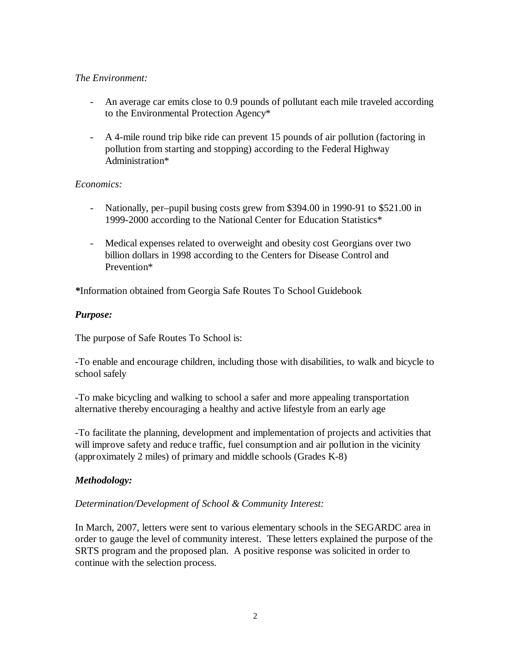### *The Environment:*

- An average car emits close to 0.9 pounds of pollutant each mile traveled according to the Environmental Protection Agency\*
- A 4-mile round trip bike ride can prevent 15 pounds of air pollution (factoring in pollution from starting and stopping) according to the Federal Highway Administration\*

### *Economics:*

- Nationally, per–pupil busing costs grew from \$394.00 in 1990-91 to \$521.00 in 1999-2000 according to the National Center for Education Statistics\*
- Medical expenses related to overweight and obesity cost Georgians over two billion dollars in 1998 according to the Centers for Disease Control and Prevention\*

*\**Information obtained from Georgia Safe Routes To School Guidebook

### *Purpose:*

The purpose of Safe Routes To School is:

-To enable and encourage children, including those with disabilities, to walk and bicycle to school safely

-To make bicycling and walking to school a safer and more appealing transportation alternative thereby encouraging a healthy and active lifestyle from an early age

-To facilitate the planning, development and implementation of projects and activities that will improve safety and reduce traffic, fuel consumption and air pollution in the vicinity (approximately 2 miles) of primary and middle schools (Grades K-8)

### *Methodology:*

### *Determination/Development of School & Community Interest:*

In March, 2007, letters were sent to various elementary schools in the SEGARDC area in order to gauge the level of community interest. These letters explained the purpose of the SRTS program and the proposed plan. A positive response was solicited in order to continue with the selection process.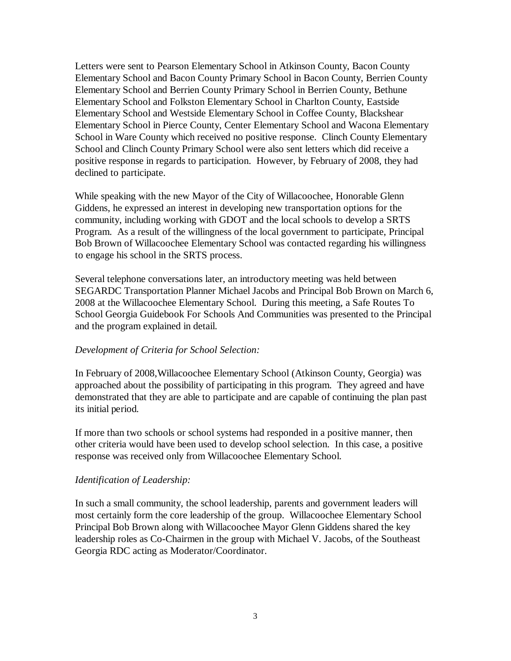Letters were sent to Pearson Elementary School in Atkinson County, Bacon County Elementary School and Bacon County Primary School in Bacon County, Berrien County Elementary School and Berrien County Primary School in Berrien County, Bethune Elementary School and Folkston Elementary School in Charlton County, Eastside Elementary School and Westside Elementary School in Coffee County, Blackshear Elementary School in Pierce County, Center Elementary School and Wacona Elementary School in Ware County which received no positive response. Clinch County Elementary School and Clinch County Primary School were also sent letters which did receive a positive response in regards to participation. However, by February of 2008, they had declined to participate.

While speaking with the new Mayor of the City of Willacoochee, Honorable Glenn Giddens, he expressed an interest in developing new transportation options for the community, including working with GDOT and the local schools to develop a SRTS Program. As a result of the willingness of the local government to participate, Principal Bob Brown of Willacoochee Elementary School was contacted regarding his willingness to engage his school in the SRTS process.

Several telephone conversations later, an introductory meeting was held between SEGARDC Transportation Planner Michael Jacobs and Principal Bob Brown on March 6, 2008 at the Willacoochee Elementary School. During this meeting, a Safe Routes To School Georgia Guidebook For Schools And Communities was presented to the Principal and the program explained in detail.

#### *Development of Criteria for School Selection:*

In February of 2008,Willacoochee Elementary School (Atkinson County, Georgia) was approached about the possibility of participating in this program. They agreed and have demonstrated that they are able to participate and are capable of continuing the plan past its initial period.

If more than two schools or school systems had responded in a positive manner, then other criteria would have been used to develop school selection. In this case, a positive response was received only from Willacoochee Elementary School.

### *Identification of Leadership:*

In such a small community, the school leadership, parents and government leaders will most certainly form the core leadership of the group. Willacoochee Elementary School Principal Bob Brown along with Willacoochee Mayor Glenn Giddens shared the key leadership roles as Co-Chairmen in the group with Michael V. Jacobs, of the Southeast Georgia RDC acting as Moderator/Coordinator.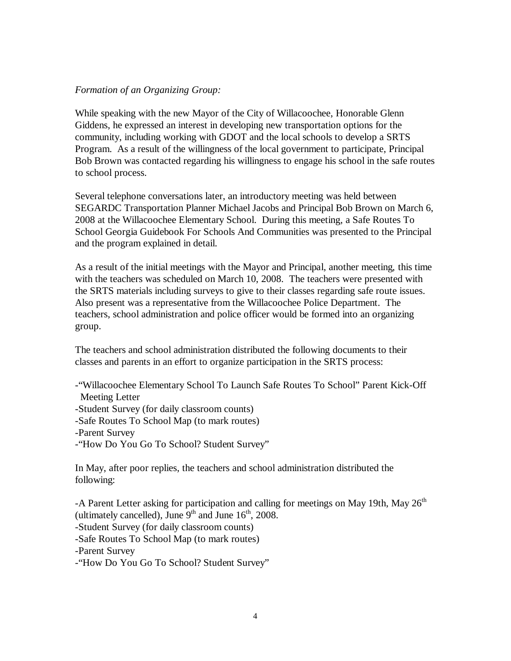### *Formation of an Organizing Group:*

While speaking with the new Mayor of the City of Willacoochee, Honorable Glenn Giddens, he expressed an interest in developing new transportation options for the community, including working with GDOT and the local schools to develop a SRTS Program. As a result of the willingness of the local government to participate, Principal Bob Brown was contacted regarding his willingness to engage his school in the safe routes to school process.

Several telephone conversations later, an introductory meeting was held between SEGARDC Transportation Planner Michael Jacobs and Principal Bob Brown on March 6, 2008 at the Willacoochee Elementary School. During this meeting, a Safe Routes To School Georgia Guidebook For Schools And Communities was presented to the Principal and the program explained in detail.

As a result of the initial meetings with the Mayor and Principal, another meeting, this time with the teachers was scheduled on March 10, 2008. The teachers were presented with the SRTS materials including surveys to give to their classes regarding safe route issues. Also present was a representative from the Willacoochee Police Department. The teachers, school administration and police officer would be formed into an organizing group.

The teachers and school administration distributed the following documents to their classes and parents in an effort to organize participation in the SRTS process:

-"Willacoochee Elementary School To Launch Safe Routes To School" Parent Kick-Off Meeting Letter -Student Survey (for daily classroom counts) -Safe Routes To School Map (to mark routes) -Parent Survey -"How Do You Go To School? Student Survey"

In May, after poor replies, the teachers and school administration distributed the following:

-A Parent Letter asking for participation and calling for meetings on May 19th, May 26<sup>th</sup> (ultimately cancelled), June  $9<sup>th</sup>$  and June  $16<sup>th</sup>$ , 2008.

-Student Survey (for daily classroom counts)

-Safe Routes To School Map (to mark routes)

-Parent Survey

-"How Do You Go To School? Student Survey"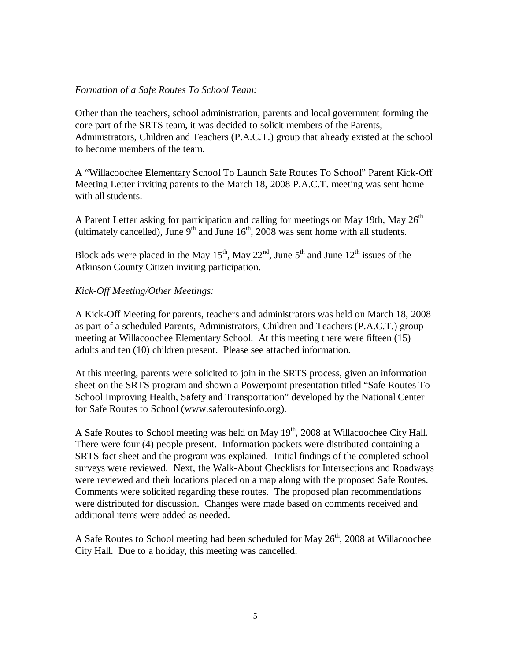### *Formation of a Safe Routes To School Team:*

Other than the teachers, school administration, parents and local government forming the core part of the SRTS team, it was decided to solicit members of the Parents, Administrators, Children and Teachers (P.A.C.T.) group that already existed at the school to become members of the team.

A "Willacoochee Elementary School To Launch Safe Routes To School" Parent Kick-Off Meeting Letter inviting parents to the March 18, 2008 P.A.C.T. meeting was sent home with all students.

A Parent Letter asking for participation and calling for meetings on May 19th, May  $26<sup>th</sup>$ (ultimately cancelled), June  $9<sup>th</sup>$  and June  $16<sup>th</sup>$ , 2008 was sent home with all students.

Block ads were placed in the May  $15^{th}$ , May  $22^{nd}$ , June  $5^{th}$  and June  $12^{th}$  issues of the Atkinson County Citizen inviting participation.

### *Kick-Off Meeting/Other Meetings:*

A Kick-Off Meeting for parents, teachers and administrators was held on March 18, 2008 as part of a scheduled Parents, Administrators, Children and Teachers (P.A.C.T.) group meeting at Willacoochee Elementary School. At this meeting there were fifteen (15) adults and ten (10) children present. Please see attached information.

At this meeting, parents were solicited to join in the SRTS process, given an information sheet on the SRTS program and shown a Powerpoint presentation titled "Safe Routes To School Improving Health, Safety and Transportation" developed by the National Center for Safe Routes to School (www.saferoutesinfo.org).

A Safe Routes to School meeting was held on May 19<sup>th</sup>, 2008 at Willacoochee City Hall. There were four (4) people present. Information packets were distributed containing a SRTS fact sheet and the program was explained. Initial findings of the completed school surveys were reviewed. Next, the Walk-About Checklists for Intersections and Roadways were reviewed and their locations placed on a map along with the proposed Safe Routes. Comments were solicited regarding these routes. The proposed plan recommendations were distributed for discussion. Changes were made based on comments received and additional items were added as needed.

A Safe Routes to School meeting had been scheduled for May  $26<sup>th</sup>$ , 2008 at Willacoochee City Hall. Due to a holiday, this meeting was cancelled.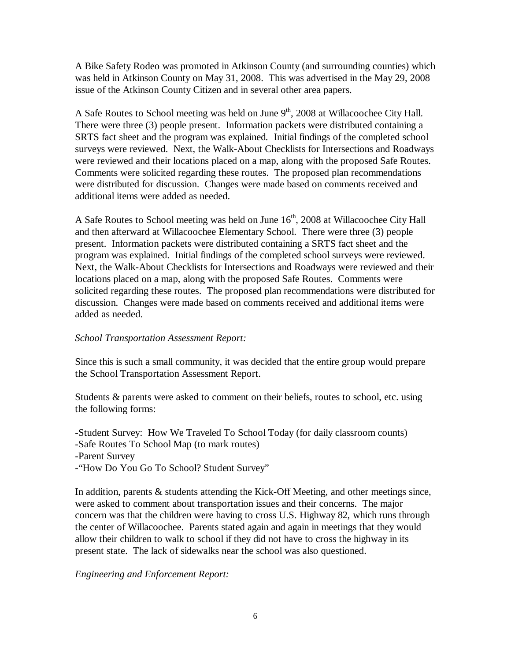A Bike Safety Rodeo was promoted in Atkinson County (and surrounding counties) which was held in Atkinson County on May 31, 2008. This was advertised in the May 29, 2008 issue of the Atkinson County Citizen and in several other area papers.

A Safe Routes to School meeting was held on June  $9<sup>th</sup>$ , 2008 at Willacoochee City Hall. There were three (3) people present. Information packets were distributed containing a SRTS fact sheet and the program was explained. Initial findings of the completed school surveys were reviewed. Next, the Walk-About Checklists for Intersections and Roadways were reviewed and their locations placed on a map, along with the proposed Safe Routes. Comments were solicited regarding these routes. The proposed plan recommendations were distributed for discussion. Changes were made based on comments received and additional items were added as needed.

A Safe Routes to School meeting was held on June 16<sup>th</sup>, 2008 at Willacoochee City Hall and then afterward at Willacoochee Elementary School. There were three (3) people present. Information packets were distributed containing a SRTS fact sheet and the program was explained. Initial findings of the completed school surveys were reviewed. Next, the Walk-About Checklists for Intersections and Roadways were reviewed and their locations placed on a map, along with the proposed Safe Routes. Comments were solicited regarding these routes. The proposed plan recommendations were distributed for discussion. Changes were made based on comments received and additional items were added as needed.

### *School Transportation Assessment Report:*

Since this is such a small community, it was decided that the entire group would prepare the School Transportation Assessment Report.

Students & parents were asked to comment on their beliefs, routes to school, etc. using the following forms:

-Student Survey: How We Traveled To School Today (for daily classroom counts) -Safe Routes To School Map (to mark routes) -Parent Survey -"How Do You Go To School? Student Survey"

In addition, parents & students attending the Kick-Off Meeting, and other meetings since, were asked to comment about transportation issues and their concerns. The major concern was that the children were having to cross U.S. Highway 82, which runs through the center of Willacoochee. Parents stated again and again in meetings that they would allow their children to walk to school if they did not have to cross the highway in its present state. The lack of sidewalks near the school was also questioned.

*Engineering and Enforcement Report:*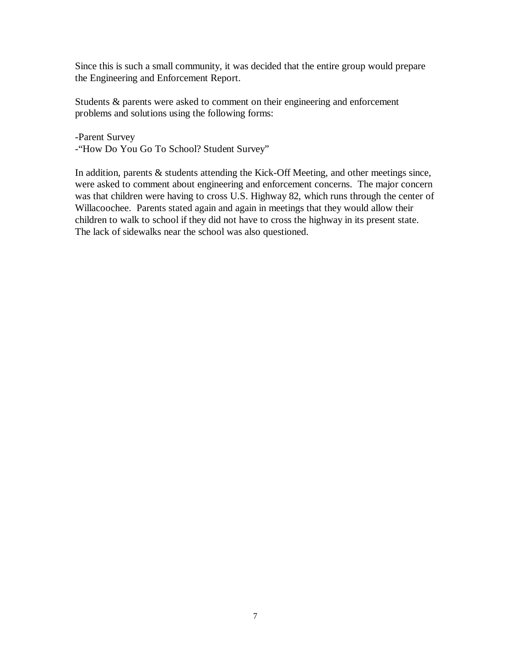Since this is such a small community, it was decided that the entire group would prepare the Engineering and Enforcement Report.

Students & parents were asked to comment on their engineering and enforcement problems and solutions using the following forms:

-Parent Survey -"How Do You Go To School? Student Survey"

In addition, parents & students attending the Kick-Off Meeting, and other meetings since, were asked to comment about engineering and enforcement concerns. The major concern was that children were having to cross U.S. Highway 82, which runs through the center of Willacoochee. Parents stated again and again in meetings that they would allow their children to walk to school if they did not have to cross the highway in its present state. The lack of sidewalks near the school was also questioned.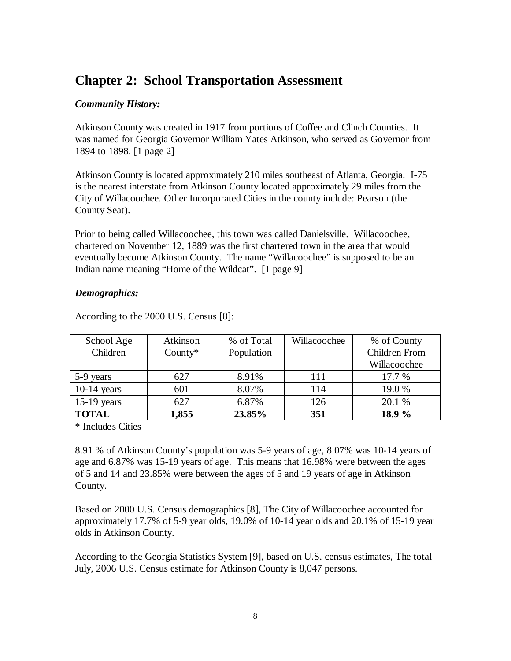## **Chapter 2: School Transportation Assessment**

### *Community History:*

Atkinson County was created in 1917 from portions of Coffee and Clinch Counties. It was named for Georgia Governor William Yates Atkinson, who served as Governor from 1894 to 1898. [1 page 2]

Atkinson County is located approximately 210 miles southeast of Atlanta, Georgia. I-75 is the nearest interstate from Atkinson County located approximately 29 miles from the City of Willacoochee. Other Incorporated Cities in the county include: Pearson (the County Seat).

Prior to being called Willacoochee, this town was called Danielsville. Willacoochee, chartered on November 12, 1889 was the first chartered town in the area that would eventually become Atkinson County. The name "Willacoochee" is supposed to be an Indian name meaning "Home of the Wildcat". [1 page 9]

### *Demographics:*

| School Age    | Atkinson   | % of Total | Willacoochee | % of County   |
|---------------|------------|------------|--------------|---------------|
| Children      | $Country*$ | Population |              | Children From |
|               |            |            |              | Willacoochee  |
| 5-9 years     | 627        | 8.91%      | 111          | 17.7 %        |
| $10-14$ years | 601        | 8.07%      | 114          | 19.0%         |
| $15-19$ years | 627        | 6.87%      | 126          | 20.1 %        |
| <b>TOTAL</b>  | 1,855      | 23.85%     | 351          | 18.9 %        |

According to the 2000 U.S. Census [8]:

\* Includes Cities

8.91 % of Atkinson County's population was 5-9 years of age, 8.07% was 10-14 years of age and 6.87% was 15-19 years of age. This means that 16.98% were between the ages of 5 and 14 and 23.85% were between the ages of 5 and 19 years of age in Atkinson County.

Based on 2000 U.S. Census demographics [8], The City of Willacoochee accounted for approximately 17.7% of 5-9 year olds, 19.0% of 10-14 year olds and 20.1% of 15-19 year olds in Atkinson County.

According to the Georgia Statistics System [9], based on U.S. census estimates, The total July, 2006 U.S. Census estimate for Atkinson County is 8,047 persons.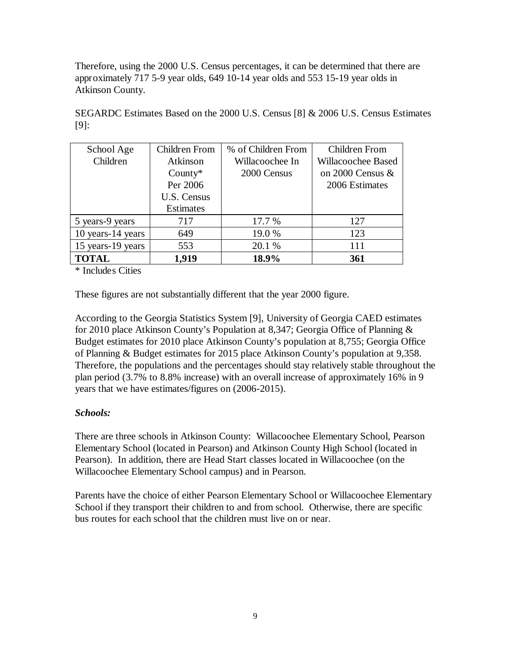Therefore, using the 2000 U.S. Census percentages, it can be determined that there are approximately 717 5-9 year olds, 649 10-14 year olds and 553 15-19 year olds in Atkinson County.

| School Age        | Children From    | % of Children From | <b>Children From</b>      |
|-------------------|------------------|--------------------|---------------------------|
| Children          | Atkinson         | Willacoochee In    | <b>Willacoochee Based</b> |
|                   | $Country*$       | 2000 Census        | on 2000 Census $&$        |
|                   | Per 2006         |                    | 2006 Estimates            |
|                   | U.S. Census      |                    |                           |
|                   | <b>Estimates</b> |                    |                           |
| 5 years-9 years   | 717              | 17.7 %             | 127                       |
| 10 years-14 years | 649              | 19.0 %             | 123                       |
| 15 years-19 years | 553              | 20.1 %             | 111                       |
| <b>TOTAL</b>      | 1,919            | 18.9%              | 361                       |

SEGARDC Estimates Based on the 2000 U.S. Census [8] & 2006 U.S. Census Estimates [9]:

\* Includes Cities

These figures are not substantially different that the year 2000 figure.

According to the Georgia Statistics System [9], University of Georgia CAED estimates for 2010 place Atkinson County's Population at 8,347; Georgia Office of Planning & Budget estimates for 2010 place Atkinson County's population at 8,755; Georgia Office of Planning & Budget estimates for 2015 place Atkinson County's population at 9,358. Therefore, the populations and the percentages should stay relatively stable throughout the plan period (3.7% to 8.8% increase) with an overall increase of approximately 16% in 9 years that we have estimates/figures on (2006-2015).

### *Schools:*

There are three schools in Atkinson County: Willacoochee Elementary School, Pearson Elementary School (located in Pearson) and Atkinson County High School (located in Pearson). In addition, there are Head Start classes located in Willacoochee (on the Willacoochee Elementary School campus) and in Pearson.

Parents have the choice of either Pearson Elementary School or Willacoochee Elementary School if they transport their children to and from school. Otherwise, there are specific bus routes for each school that the children must live on or near.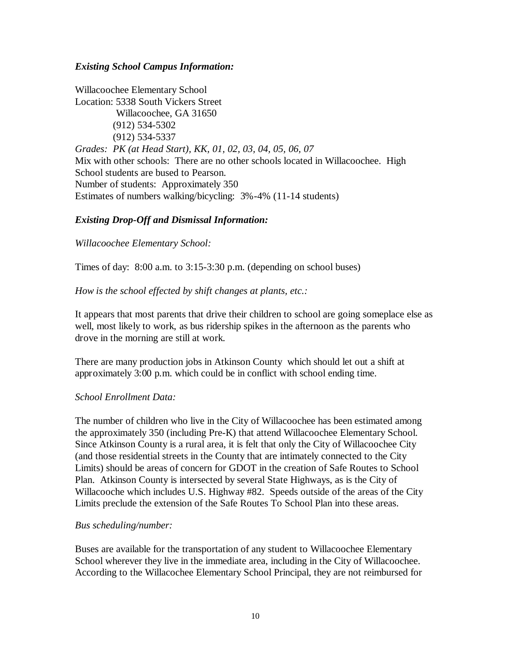### *Existing School Campus Information:*

Willacoochee Elementary School Location: 5338 South Vickers Street Willacoochee, GA 31650 (912) 534-5302 (912) 534-5337 *Grades: PK (at Head Start), KK, 01, 02, 03, 04, 05, 06, 07* Mix with other schools: There are no other schools located in Willacoochee. High School students are bused to Pearson. Number of students: Approximately 350 Estimates of numbers walking/bicycling: 3%-4% (11-14 students)

### *Existing Drop-Off and Dismissal Information:*

### *Willacoochee Elementary School:*

Times of day: 8:00 a.m. to 3:15-3:30 p.m. (depending on school buses)

### *How is the school effected by shift changes at plants, etc.:*

It appears that most parents that drive their children to school are going someplace else as well, most likely to work, as bus ridership spikes in the afternoon as the parents who drove in the morning are still at work.

There are many production jobs in Atkinson County which should let out a shift at approximately 3:00 p.m. which could be in conflict with school ending time.

### *School Enrollment Data:*

The number of children who live in the City of Willacoochee has been estimated among the approximately 350 (including Pre-K) that attend Willacoochee Elementary School. Since Atkinson County is a rural area, it is felt that only the City of Willacoochee City (and those residential streets in the County that are intimately connected to the City Limits) should be areas of concern for GDOT in the creation of Safe Routes to School Plan. Atkinson County is intersected by several State Highways, as is the City of Willacooche which includes U.S. Highway #82. Speeds outside of the areas of the City Limits preclude the extension of the Safe Routes To School Plan into these areas.

### *Bus scheduling/number:*

Buses are available for the transportation of any student to Willacoochee Elementary School wherever they live in the immediate area, including in the City of Willacoochee. According to the Willacochee Elementary School Principal, they are not reimbursed for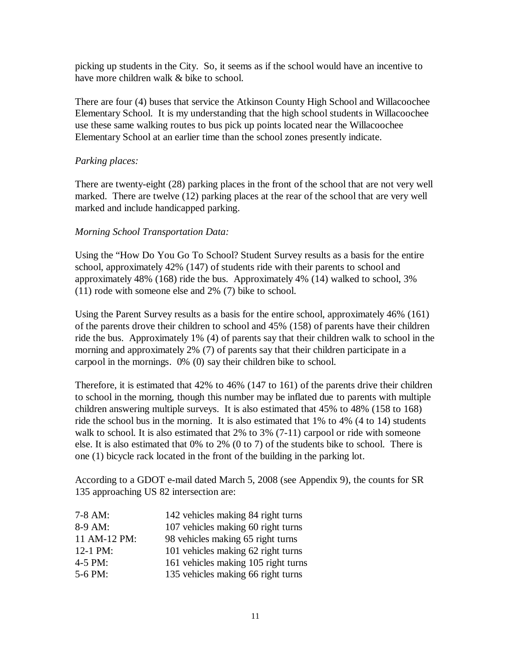picking up students in the City. So, it seems as if the school would have an incentive to have more children walk & bike to school.

There are four (4) buses that service the Atkinson County High School and Willacoochee Elementary School. It is my understanding that the high school students in Willacoochee use these same walking routes to bus pick up points located near the Willacoochee Elementary School at an earlier time than the school zones presently indicate.

### *Parking places:*

There are twenty-eight (28) parking places in the front of the school that are not very well marked. There are twelve (12) parking places at the rear of the school that are very well marked and include handicapped parking.

### *Morning School Transportation Data:*

Using the "How Do You Go To School? Student Survey results as a basis for the entire school, approximately 42% (147) of students ride with their parents to school and approximately 48% (168) ride the bus. Approximately 4% (14) walked to school, 3% (11) rode with someone else and 2% (7) bike to school.

Using the Parent Survey results as a basis for the entire school, approximately 46% (161) of the parents drove their children to school and 45% (158) of parents have their children ride the bus. Approximately 1% (4) of parents say that their children walk to school in the morning and approximately 2% (7) of parents say that their children participate in a carpool in the mornings. 0% (0) say their children bike to school.

Therefore, it is estimated that 42% to 46% (147 to 161) of the parents drive their children to school in the morning, though this number may be inflated due to parents with multiple children answering multiple surveys. It is also estimated that 45% to 48% (158 to 168) ride the school bus in the morning. It is also estimated that 1% to 4% (4 to 14) students walk to school. It is also estimated that 2% to 3% (7-11) carpool or ride with someone else. It is also estimated that 0% to 2% (0 to 7) of the students bike to school. There is one (1) bicycle rack located in the front of the building in the parking lot.

According to a GDOT e-mail dated March 5, 2008 (see Appendix 9), the counts for SR 135 approaching US 82 intersection are:

| $7-8$ AM:    | 142 vehicles making 84 right turns  |
|--------------|-------------------------------------|
| 8-9 AM:      | 107 vehicles making 60 right turns  |
| 11 AM-12 PM: | 98 vehicles making 65 right turns   |
| 12-1 PM:     | 101 vehicles making 62 right turns  |
| 4-5 PM:      | 161 vehicles making 105 right turns |
| 5-6 PM:      | 135 vehicles making 66 right turns  |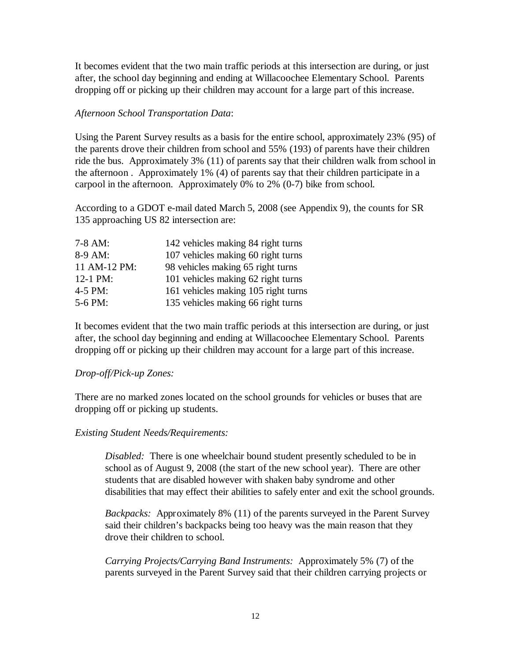It becomes evident that the two main traffic periods at this intersection are during, or just after, the school day beginning and ending at Willacoochee Elementary School. Parents dropping off or picking up their children may account for a large part of this increase.

### *Afternoon School Transportation Data*:

Using the Parent Survey results as a basis for the entire school, approximately 23% (95) of the parents drove their children from school and 55% (193) of parents have their children ride the bus. Approximately 3% (11) of parents say that their children walk from school in the afternoon . Approximately 1% (4) of parents say that their children participate in a carpool in the afternoon. Approximately 0% to 2% (0-7) bike from school.

According to a GDOT e-mail dated March 5, 2008 (see Appendix 9), the counts for SR 135 approaching US 82 intersection are:

| $7-8$ AM:    | 142 vehicles making 84 right turns  |
|--------------|-------------------------------------|
| 8-9 AM:      | 107 vehicles making 60 right turns  |
| 11 AM-12 PM: | 98 vehicles making 65 right turns   |
| 12-1 PM:     | 101 vehicles making 62 right turns  |
| $4-5$ PM:    | 161 vehicles making 105 right turns |
| 5-6 PM:      | 135 vehicles making 66 right turns  |
|              |                                     |

It becomes evident that the two main traffic periods at this intersection are during, or just after, the school day beginning and ending at Willacoochee Elementary School. Parents dropping off or picking up their children may account for a large part of this increase.

### *Drop-off/Pick-up Zones:*

There are no marked zones located on the school grounds for vehicles or buses that are dropping off or picking up students.

### *Existing Student Needs/Requirements:*

*Disabled:* There is one wheelchair bound student presently scheduled to be in school as of August 9, 2008 (the start of the new school year). There are other students that are disabled however with shaken baby syndrome and other disabilities that may effect their abilities to safely enter and exit the school grounds.

*Backpacks:* Approximately 8% (11) of the parents surveyed in the Parent Survey said their children's backpacks being too heavy was the main reason that they drove their children to school.

*Carrying Projects/Carrying Band Instruments:* Approximately 5% (7) of the parents surveyed in the Parent Survey said that their children carrying projects or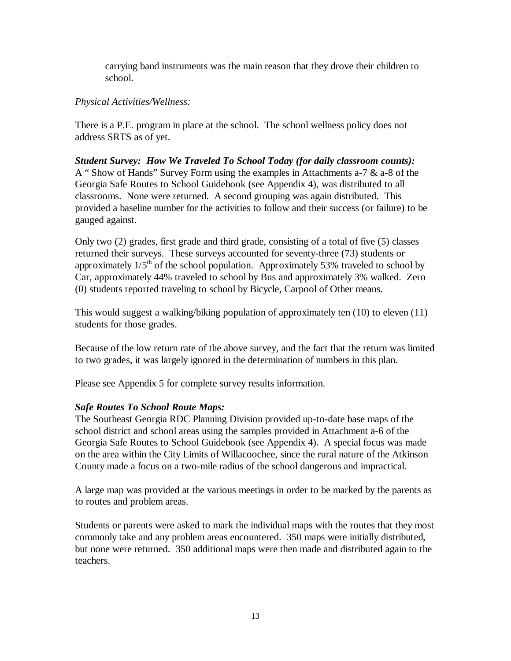carrying band instruments was the main reason that they drove their children to school.

### *Physical Activities/Wellness:*

There is a P.E. program in place at the school. The school wellness policy does not address SRTS as of yet.

*Student Survey: How We Traveled To School Today (for daily classroom counts):* A " Show of Hands" Survey Form using the examples in Attachments a-7 & a-8 of the Georgia Safe Routes to School Guidebook (see Appendix 4), was distributed to all classrooms. None were returned. A second grouping was again distributed. This provided a baseline number for the activities to follow and their success (or failure) to be gauged against.

Only two (2) grades, first grade and third grade, consisting of a total of five (5) classes returned their surveys. These surveys accounted for seventy-three (73) students or approximately  $1/5<sup>th</sup>$  of the school population. Approximately 53% traveled to school by Car, approximately 44% traveled to school by Bus and approximately 3% walked. Zero (0) students reported traveling to school by Bicycle, Carpool of Other means.

This would suggest a walking/biking population of approximately ten (10) to eleven (11) students for those grades.

Because of the low return rate of the above survey, and the fact that the return was limited to two grades, it was largely ignored in the determination of numbers in this plan.

Please see Appendix 5 for complete survey results information.

### *Safe Routes To School Route Maps:*

The Southeast Georgia RDC Planning Division provided up-to-date base maps of the school district and school areas using the samples provided in Attachment a-6 of the Georgia Safe Routes to School Guidebook (see Appendix 4). A special focus was made on the area within the City Limits of Willacoochee, since the rural nature of the Atkinson County made a focus on a two-mile radius of the school dangerous and impractical.

A large map was provided at the various meetings in order to be marked by the parents as to routes and problem areas.

Students or parents were asked to mark the individual maps with the routes that they most commonly take and any problem areas encountered. 350 maps were initially distributed, but none were returned. 350 additional maps were then made and distributed again to the teachers.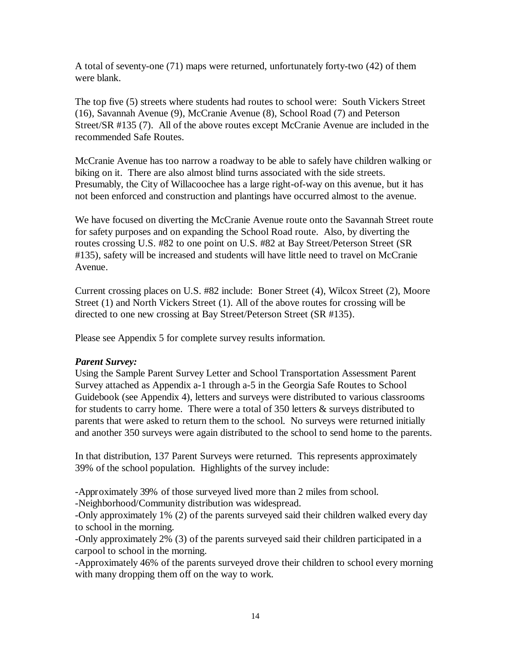A total of seventy-one (71) maps were returned, unfortunately forty-two (42) of them were blank.

The top five (5) streets where students had routes to school were: South Vickers Street (16), Savannah Avenue (9), McCranie Avenue (8), School Road (7) and Peterson Street/SR #135 (7). All of the above routes except McCranie Avenue are included in the recommended Safe Routes.

McCranie Avenue has too narrow a roadway to be able to safely have children walking or biking on it. There are also almost blind turns associated with the side streets. Presumably, the City of Willacoochee has a large right-of-way on this avenue, but it has not been enforced and construction and plantings have occurred almost to the avenue.

We have focused on diverting the McCranie Avenue route onto the Savannah Street route for safety purposes and on expanding the School Road route. Also, by diverting the routes crossing U.S. #82 to one point on U.S. #82 at Bay Street/Peterson Street (SR #135), safety will be increased and students will have little need to travel on McCranie Avenue.

Current crossing places on U.S. #82 include: Boner Street (4), Wilcox Street (2), Moore Street (1) and North Vickers Street (1). All of the above routes for crossing will be directed to one new crossing at Bay Street/Peterson Street (SR #135).

Please see Appendix 5 for complete survey results information.

### *Parent Survey:*

Using the Sample Parent Survey Letter and School Transportation Assessment Parent Survey attached as Appendix a-1 through a-5 in the Georgia Safe Routes to School Guidebook (see Appendix 4), letters and surveys were distributed to various classrooms for students to carry home. There were a total of 350 letters & surveys distributed to parents that were asked to return them to the school. No surveys were returned initially and another 350 surveys were again distributed to the school to send home to the parents.

In that distribution, 137 Parent Surveys were returned. This represents approximately 39% of the school population. Highlights of the survey include:

-Approximately 39% of those surveyed lived more than 2 miles from school.

-Neighborhood/Community distribution was widespread.

-Only approximately 1% (2) of the parents surveyed said their children walked every day to school in the morning.

-Only approximately 2% (3) of the parents surveyed said their children participated in a carpool to school in the morning.

-Approximately 46% of the parents surveyed drove their children to school every morning with many dropping them off on the way to work.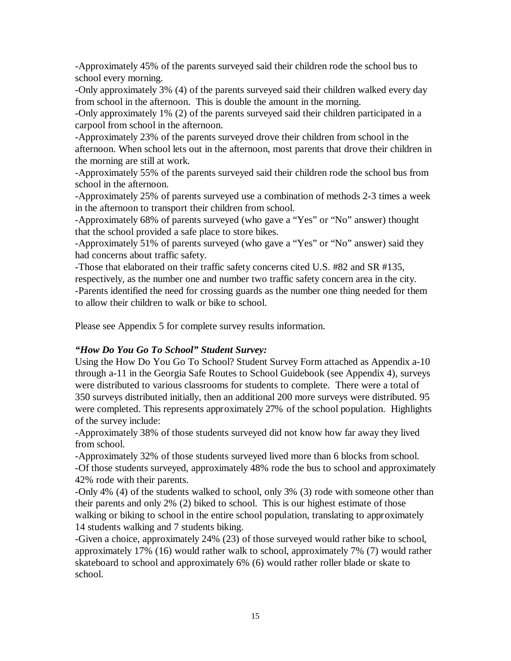-Approximately 45% of the parents surveyed said their children rode the school bus to school every morning.

-Only approximately 3% (4) of the parents surveyed said their children walked every day from school in the afternoon. This is double the amount in the morning.

-Only approximately 1% (2) of the parents surveyed said their children participated in a carpool from school in the afternoon.

-Approximately 23% of the parents surveyed drove their children from school in the afternoon. When school lets out in the afternoon, most parents that drove their children in the morning are still at work.

-Approximately 55% of the parents surveyed said their children rode the school bus from school in the afternoon.

-Approximately 25% of parents surveyed use a combination of methods 2-3 times a week in the afternoon to transport their children from school.

-Approximately 68% of parents surveyed (who gave a "Yes" or "No" answer) thought that the school provided a safe place to store bikes.

-Approximately 51% of parents surveyed (who gave a "Yes" or "No" answer) said they had concerns about traffic safety.

-Those that elaborated on their traffic safety concerns cited U.S. #82 and SR #135, respectively, as the number one and number two traffic safety concern area in the city. -Parents identified the need for crossing guards as the number one thing needed for them to allow their children to walk or bike to school.

Please see Appendix 5 for complete survey results information.

### *"How Do You Go To School" Student Survey:*

Using the How Do You Go To School? Student Survey Form attached as Appendix a-10 through a-11 in the Georgia Safe Routes to School Guidebook (see Appendix 4), surveys were distributed to various classrooms for students to complete. There were a total of 350 surveys distributed initially, then an additional 200 more surveys were distributed. 95 were completed. This represents approximately 27% of the school population. Highlights of the survey include:

-Approximately 38% of those students surveyed did not know how far away they lived from school.

-Approximately 32% of those students surveyed lived more than 6 blocks from school. -Of those students surveyed, approximately 48% rode the bus to school and approximately 42% rode with their parents.

-Only 4% (4) of the students walked to school, only 3% (3) rode with someone other than their parents and only 2% (2) biked to school. This is our highest estimate of those walking or biking to school in the entire school population, translating to approximately 14 students walking and 7 students biking.

-Given a choice, approximately 24% (23) of those surveyed would rather bike to school, approximately 17% (16) would rather walk to school, approximately 7% (7) would rather skateboard to school and approximately 6% (6) would rather roller blade or skate to school.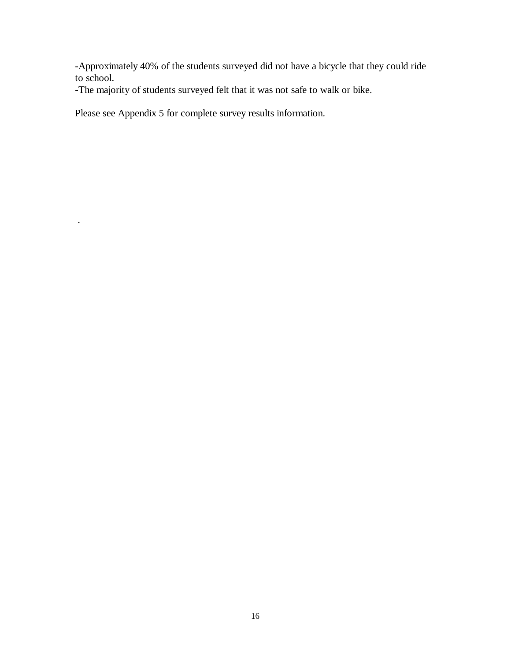-Approximately 40% of the students surveyed did not have a bicycle that they could ride to school.

-The majority of students surveyed felt that it was not safe to walk or bike.

Please see Appendix 5 for complete survey results information.

.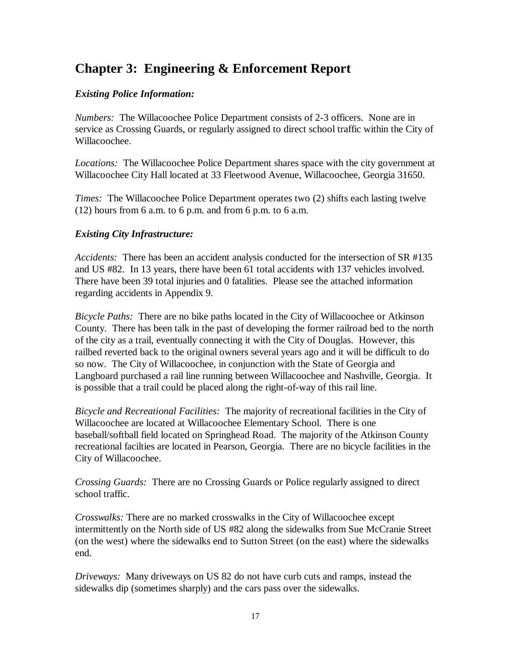## **Chapter 3: Engineering & Enforcement Report**

### *Existing Police Information:*

*Numbers:* The Willacoochee Police Department consists of 2-3 officers. None are in service as Crossing Guards, or regularly assigned to direct school traffic within the City of Willacoochee.

*Locations:* The Willacoochee Police Department shares space with the city government at Willacoochee City Hall located at 33 Fleetwood Avenue, Willacoochee, Georgia 31650.

*Times:* The Willacoochee Police Department operates two (2) shifts each lasting twelve  $(12)$  hours from 6 a.m. to 6 p.m. and from 6 p.m. to 6 a.m.

### *Existing City Infrastructure:*

*Accidents:* There has been an accident analysis conducted for the intersection of SR #135 and US #82. In 13 years, there have been 61 total accidents with 137 vehicles involved. There have been 39 total injuries and 0 fatalities. Please see the attached information regarding accidents in Appendix 9.

*Bicycle Paths:* There are no bike paths located in the City of Willacoochee or Atkinson County. There has been talk in the past of developing the former railroad bed to the north of the city as a trail, eventually connecting it with the City of Douglas. However, this railbed reverted back to the original owners several years ago and it will be difficult to do so now. The City of Willacoochee, in conjunction with the State of Georgia and Langboard purchased a rail line running between Willacoochee and Nashville, Georgia. It is possible that a trail could be placed along the right-of-way of this rail line.

*Bicycle and Recreational Facilities:* The majority of recreational facilities in the City of Willacoochee are located at Willacoochee Elementary School. There is one baseball/softball field located on Springhead Road. The majority of the Atkinson County recreational facilties are located in Pearson, Georgia. There are no bicycle facilities in the City of Willacoochee.

*Crossing Guards:* There are no Crossing Guards or Police regularly assigned to direct school traffic.

*Crosswalks:* There are no marked crosswalks in the City of Willacoochee except intermittently on the North side of US #82 along the sidewalks from Sue McCranie Street (on the west) where the sidewalks end to Sutton Street (on the east) where the sidewalks end.

*Driveways:* Many driveways on US 82 do not have curb cuts and ramps, instead the sidewalks dip (sometimes sharply) and the cars pass over the sidewalks.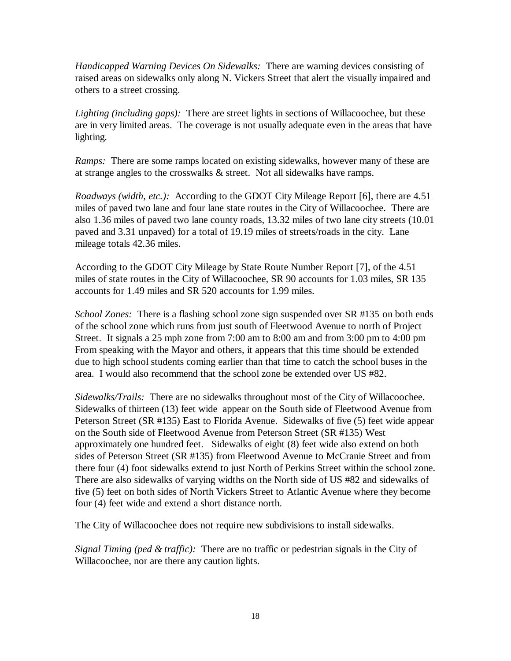*Handicapped Warning Devices On Sidewalks:* There are warning devices consisting of raised areas on sidewalks only along N. Vickers Street that alert the visually impaired and others to a street crossing.

*Lighting (including gaps):* There are street lights in sections of Willacoochee, but these are in very limited areas. The coverage is not usually adequate even in the areas that have lighting.

*Ramps:* There are some ramps located on existing sidewalks, however many of these are at strange angles to the crosswalks & street. Not all sidewalks have ramps.

*Roadways (width, etc.):* According to the GDOT City Mileage Report [6], there are 4.51 miles of paved two lane and four lane state routes in the City of Willacoochee. There are also 1.36 miles of paved two lane county roads, 13.32 miles of two lane city streets (10.01 paved and 3.31 unpaved) for a total of 19.19 miles of streets/roads in the city. Lane mileage totals 42.36 miles.

According to the GDOT City Mileage by State Route Number Report [7], of the 4.51 miles of state routes in the City of Willacoochee, SR 90 accounts for 1.03 miles, SR 135 accounts for 1.49 miles and SR 520 accounts for 1.99 miles.

*School Zones:* There is a flashing school zone sign suspended over SR #135 on both ends of the school zone which runs from just south of Fleetwood Avenue to north of Project Street. It signals a 25 mph zone from 7:00 am to 8:00 am and from 3:00 pm to 4:00 pm From speaking with the Mayor and others, it appears that this time should be extended due to high school students coming earlier than that time to catch the school buses in the area. I would also recommend that the school zone be extended over US #82.

*Sidewalks/Trails:* There are no sidewalks throughout most of the City of Willacoochee. Sidewalks of thirteen (13) feet wide appear on the South side of Fleetwood Avenue from Peterson Street (SR #135) East to Florida Avenue. Sidewalks of five (5) feet wide appear on the South side of Fleetwood Avenue from Peterson Street (SR #135) West approximately one hundred feet. Sidewalks of eight (8) feet wide also extend on both sides of Peterson Street (SR #135) from Fleetwood Avenue to McCranie Street and from there four (4) foot sidewalks extend to just North of Perkins Street within the school zone. There are also sidewalks of varying widths on the North side of US #82 and sidewalks of five (5) feet on both sides of North Vickers Street to Atlantic Avenue where they become four (4) feet wide and extend a short distance north.

The City of Willacoochee does not require new subdivisions to install sidewalks.

*Signal Timing (ped & traffic):* There are no traffic or pedestrian signals in the City of Willacoochee, nor are there any caution lights.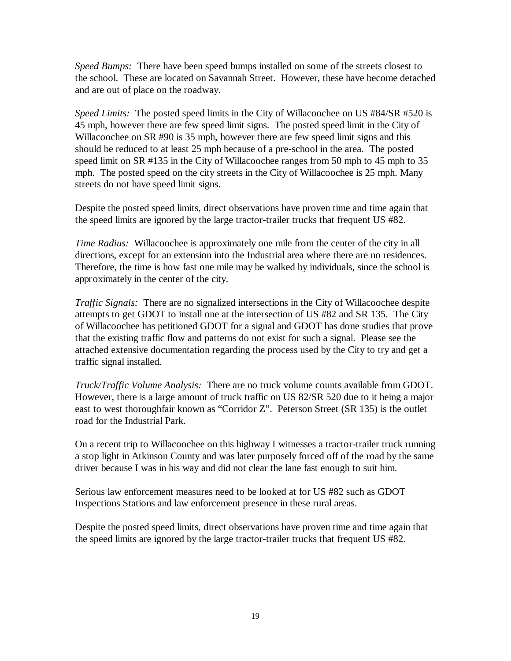*Speed Bumps:* There have been speed bumps installed on some of the streets closest to the school. These are located on Savannah Street. However, these have become detached and are out of place on the roadway.

*Speed Limits:* The posted speed limits in the City of Willacoochee on US #84/SR #520 is 45 mph, however there are few speed limit signs. The posted speed limit in the City of Willacoochee on SR #90 is 35 mph, however there are few speed limit signs and this should be reduced to at least 25 mph because of a pre-school in the area. The posted speed limit on SR #135 in the City of Willacoochee ranges from 50 mph to 45 mph to 35 mph. The posted speed on the city streets in the City of Willacoochee is 25 mph. Many streets do not have speed limit signs.

Despite the posted speed limits, direct observations have proven time and time again that the speed limits are ignored by the large tractor-trailer trucks that frequent US #82.

*Time Radius:* Willacoochee is approximately one mile from the center of the city in all directions, except for an extension into the Industrial area where there are no residences. Therefore, the time is how fast one mile may be walked by individuals, since the school is approximately in the center of the city.

*Traffic Signals:* There are no signalized intersections in the City of Willacoochee despite attempts to get GDOT to install one at the intersection of US #82 and SR 135. The City of Willacoochee has petitioned GDOT for a signal and GDOT has done studies that prove that the existing traffic flow and patterns do not exist for such a signal. Please see the attached extensive documentation regarding the process used by the City to try and get a traffic signal installed.

*Truck/Traffic Volume Analysis:* There are no truck volume counts available from GDOT. However, there is a large amount of truck traffic on US 82/SR 520 due to it being a major east to west thoroughfair known as "Corridor Z". Peterson Street (SR 135) is the outlet road for the Industrial Park.

On a recent trip to Willacoochee on this highway I witnesses a tractor-trailer truck running a stop light in Atkinson County and was later purposely forced off of the road by the same driver because I was in his way and did not clear the lane fast enough to suit him.

Serious law enforcement measures need to be looked at for US #82 such as GDOT Inspections Stations and law enforcement presence in these rural areas.

Despite the posted speed limits, direct observations have proven time and time again that the speed limits are ignored by the large tractor-trailer trucks that frequent US #82.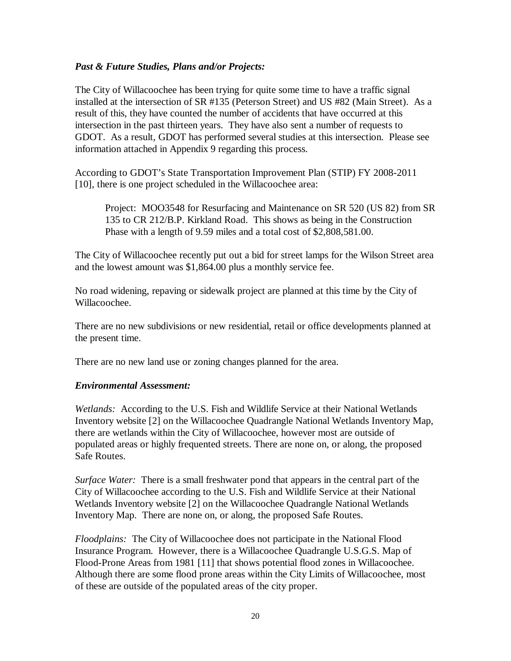### *Past & Future Studies, Plans and/or Projects:*

The City of Willacoochee has been trying for quite some time to have a traffic signal installed at the intersection of SR #135 (Peterson Street) and US #82 (Main Street). As a result of this, they have counted the number of accidents that have occurred at this intersection in the past thirteen years. They have also sent a number of requests to GDOT. As a result, GDOT has performed several studies at this intersection. Please see information attached in Appendix 9 regarding this process.

According to GDOT's State Transportation Improvement Plan (STIP) FY 2008-2011 [10], there is one project scheduled in the Willacoochee area:

Project: MOO3548 for Resurfacing and Maintenance on SR 520 (US 82) from SR 135 to CR 212/B.P. Kirkland Road. This shows as being in the Construction Phase with a length of 9.59 miles and a total cost of \$2,808,581.00.

The City of Willacoochee recently put out a bid for street lamps for the Wilson Street area and the lowest amount was \$1,864.00 plus a monthly service fee.

No road widening, repaving or sidewalk project are planned at this time by the City of Willacoochee.

There are no new subdivisions or new residential, retail or office developments planned at the present time.

There are no new land use or zoning changes planned for the area.

### *Environmental Assessment:*

*Wetlands:* According to the U.S. Fish and Wildlife Service at their National Wetlands Inventory website [2] on the Willacoochee Quadrangle National Wetlands Inventory Map, there are wetlands within the City of Willacoochee, however most are outside of populated areas or highly frequented streets. There are none on, or along, the proposed Safe Routes.

*Surface Water:* There is a small freshwater pond that appears in the central part of the City of Willacoochee according to the U.S. Fish and Wildlife Service at their National Wetlands Inventory website [2] on the Willacoochee Quadrangle National Wetlands Inventory Map. There are none on, or along, the proposed Safe Routes.

*Floodplains:* The City of Willacoochee does not participate in the National Flood Insurance Program. However, there is a Willacoochee Quadrangle U.S.G.S. Map of Flood-Prone Areas from 1981 [11] that shows potential flood zones in Willacoochee. Although there are some flood prone areas within the City Limits of Willacoochee, most of these are outside of the populated areas of the city proper.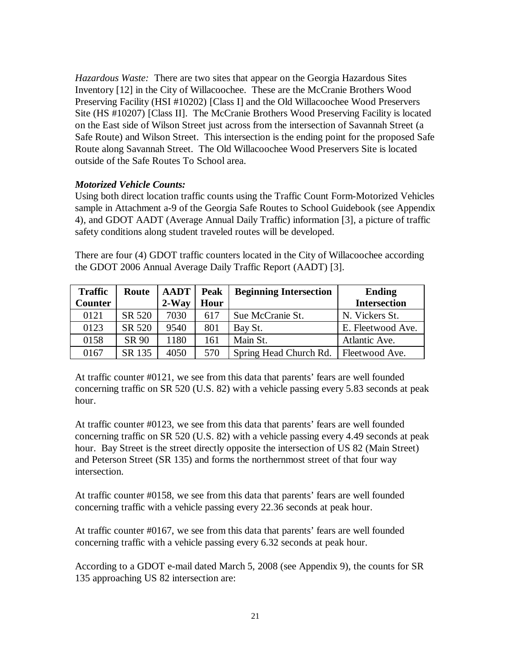*Hazardous Waste:* There are two sites that appear on the Georgia Hazardous Sites Inventory [12] in the City of Willacoochee. These are the McCranie Brothers Wood Preserving Facility (HSI #10202) [Class I] and the Old Willacoochee Wood Preservers Site (HS #10207) [Class II]. The McCranie Brothers Wood Preserving Facility is located on the East side of Wilson Street just across from the intersection of Savannah Street (a Safe Route) and Wilson Street. This intersection is the ending point for the proposed Safe Route along Savannah Street. The Old Willacoochee Wood Preservers Site is located outside of the Safe Routes To School area.

### *Motorized Vehicle Counts:*

Using both direct location traffic counts using the Traffic Count Form-Motorized Vehicles sample in Attachment a-9 of the Georgia Safe Routes to School Guidebook (see Appendix 4), and GDOT AADT (Average Annual Daily Traffic) information [3], a picture of traffic safety conditions along student traveled routes will be developed.

There are four (4) GDOT traffic counters located in the City of Willacoochee according the GDOT 2006 Annual Average Daily Traffic Report (AADT) [3].

| <b>Traffic</b> | Route  | <b>AADT</b> | <b>Peak</b> | <b>Beginning Intersection</b> | <b>Ending</b>       |
|----------------|--------|-------------|-------------|-------------------------------|---------------------|
| <b>Counter</b> |        | $2-Way$     | Hour        |                               | <b>Intersection</b> |
| 0121           | SR 520 | 7030        | 617         | Sue McCranie St.              | N. Vickers St.      |
| 0123           | SR 520 | 9540        | 801         | Bay St.                       | E. Fleetwood Ave.   |
| 0158           | SR 90  | 1180        | 161         | Main St.                      | Atlantic Ave.       |
| 0167           | SR 135 | 4050        | 570         | Spring Head Church Rd.        | Fleetwood Ave.      |

At traffic counter #0121, we see from this data that parents' fears are well founded concerning traffic on SR 520 (U.S. 82) with a vehicle passing every 5.83 seconds at peak hour.

At traffic counter #0123, we see from this data that parents' fears are well founded concerning traffic on SR 520 (U.S. 82) with a vehicle passing every 4.49 seconds at peak hour. Bay Street is the street directly opposite the intersection of US 82 (Main Street) and Peterson Street (SR 135) and forms the northernmost street of that four way intersection.

At traffic counter #0158, we see from this data that parents' fears are well founded concerning traffic with a vehicle passing every 22.36 seconds at peak hour.

At traffic counter #0167, we see from this data that parents' fears are well founded concerning traffic with a vehicle passing every 6.32 seconds at peak hour.

According to a GDOT e-mail dated March 5, 2008 (see Appendix 9), the counts for SR 135 approaching US 82 intersection are: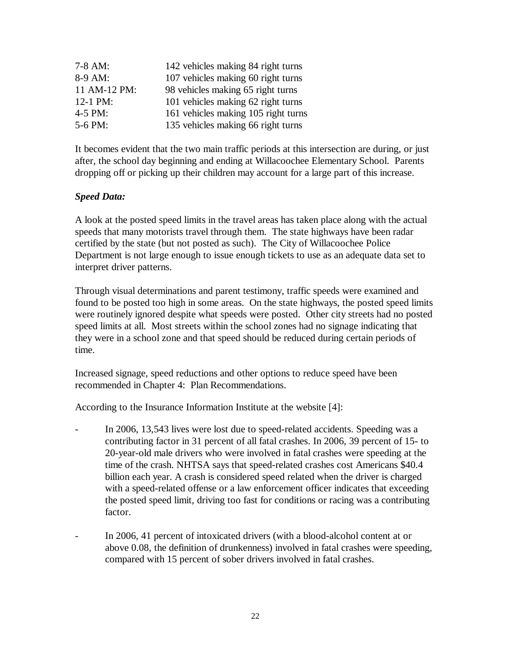| $7-8$ AM:    | 142 vehicles making 84 right turns  |
|--------------|-------------------------------------|
| 8-9 AM:      | 107 vehicles making 60 right turns  |
| 11 AM-12 PM: | 98 vehicles making 65 right turns   |
| 12-1 PM:     | 101 vehicles making 62 right turns  |
| $4-5$ PM:    | 161 vehicles making 105 right turns |
| 5-6 PM:      | 135 vehicles making 66 right turns  |

It becomes evident that the two main traffic periods at this intersection are during, or just after, the school day beginning and ending at Willacoochee Elementary School. Parents dropping off or picking up their children may account for a large part of this increase.

### *Speed Data:*

A look at the posted speed limits in the travel areas has taken place along with the actual speeds that many motorists travel through them. The state highways have been radar certified by the state (but not posted as such). The City of Willacoochee Police Department is not large enough to issue enough tickets to use as an adequate data set to interpret driver patterns.

Through visual determinations and parent testimony, traffic speeds were examined and found to be posted too high in some areas. On the state highways, the posted speed limits were routinely ignored despite what speeds were posted. Other city streets had no posted speed limits at all. Most streets within the school zones had no signage indicating that they were in a school zone and that speed should be reduced during certain periods of time.

Increased signage, speed reductions and other options to reduce speed have been recommended in Chapter 4: Plan Recommendations.

According to the Insurance Information Institute at the website [4]:

- In 2006, 13,543 lives were lost due to speed-related accidents. Speeding was a contributing factor in 31 percent of all fatal crashes. In 2006, 39 percent of 15- to 20-year-old male drivers who were involved in fatal crashes were speeding at the time of the crash. NHTSA says that speed-related crashes cost Americans \$40.4 billion each year. A crash is considered speed related when the driver is charged with a speed-related offense or a law enforcement officer indicates that exceeding the posted speed limit, driving too fast for conditions or racing was a contributing factor.
- In 2006, 41 percent of intoxicated drivers (with a blood-alcohol content at or above 0.08, the definition of drunkenness) involved in fatal crashes were speeding, compared with 15 percent of sober drivers involved in fatal crashes.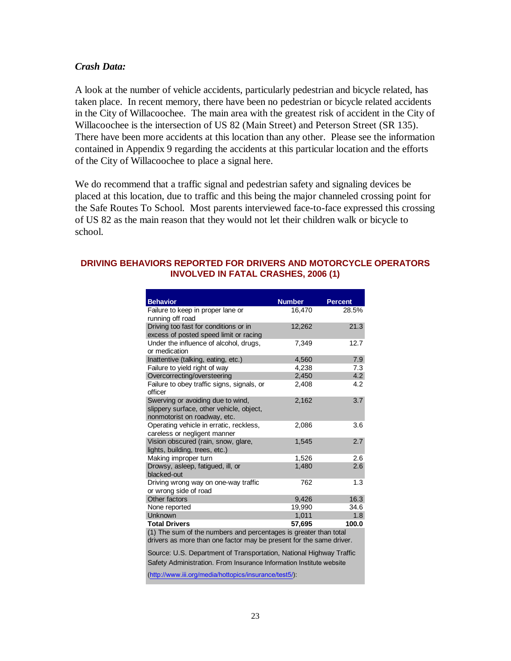### *Crash Data:*

A look at the number of vehicle accidents, particularly pedestrian and bicycle related, has taken place. In recent memory, there have been no pedestrian or bicycle related accidents in the City of Willacoochee. The main area with the greatest risk of accident in the City of Willacoochee is the intersection of US 82 (Main Street) and Peterson Street (SR 135). There have been more accidents at this location than any other. Please see the information contained in Appendix 9 regarding the accidents at this particular location and the efforts of the City of Willacoochee to place a signal here.

We do recommend that a traffic signal and pedestrian safety and signaling devices be placed at this location, due to traffic and this being the major channeled crossing point for the Safe Routes To School. Most parents interviewed face-to-face expressed this crossing of US 82 as the main reason that they would not let their children walk or bicycle to school.

#### **DRIVING BEHAVIORS REPORTED FOR DRIVERS AND MOTORCYCLE OPERATORS INVOLVED IN FATAL CRASHES, 2006 (1)**

| <b>Behavior</b>                                                  | <b>Number</b> | <b>Percent</b> |
|------------------------------------------------------------------|---------------|----------------|
| Failure to keep in proper lane or                                | 16,470        | 28.5%          |
| running off road                                                 |               |                |
| Driving too fast for conditions or in                            | 12,262        | 21.3           |
| excess of posted speed limit or racing                           |               |                |
| Under the influence of alcohol, drugs,                           | 7.349         | 12.7           |
| or medication                                                    |               |                |
| Inattentive (talking, eating, etc.)                              | 4,560         | 7.9            |
| Failure to yield right of way                                    | 4,238         | 7.3            |
| Overcorrecting/oversteering                                      | 2,450         | 4.2            |
| Failure to obey traffic signs, signals, or                       | 2,408         | 4.2            |
| officer                                                          |               |                |
| Swerving or avoiding due to wind,                                | 2,162         | 3.7            |
| slippery surface, other vehicle, object,                         |               |                |
| nonmotorist on roadway, etc.                                     |               |                |
| Operating vehicle in erratic, reckless,                          | 2,086         | 3.6            |
| careless or negligent manner                                     |               |                |
| Vision obscured (rain, snow, glare,                              | 1,545         | 2.7            |
| lights, building, trees, etc.)                                   |               |                |
| Making improper turn                                             | 1,526         | 2.6            |
| Drowsy, asleep, fatigued, ill, or                                | 1,480         | 2.6            |
| blacked-out                                                      |               |                |
| Driving wrong way on one-way traffic                             | 762           | 1.3            |
| or wrong side of road                                            |               |                |
| Other factors                                                    | 9,426         | 16.3           |
| None reported                                                    | 19,990        | 34.6           |
| Unknown                                                          | 1,011         | 1.8            |
| <b>Total Drivers</b>                                             | 57,695        | 100.0          |
| (1) The sum of the numbers and percentages is greater than total |               |                |

drivers as more than one factor may be present for the same driver.

Source: U.S. Department of Transportation, National Highway Traffic Safety Administration. From Insurance Information Institute website

(http://www.iii.org/media/hottopics/insurance/test5/):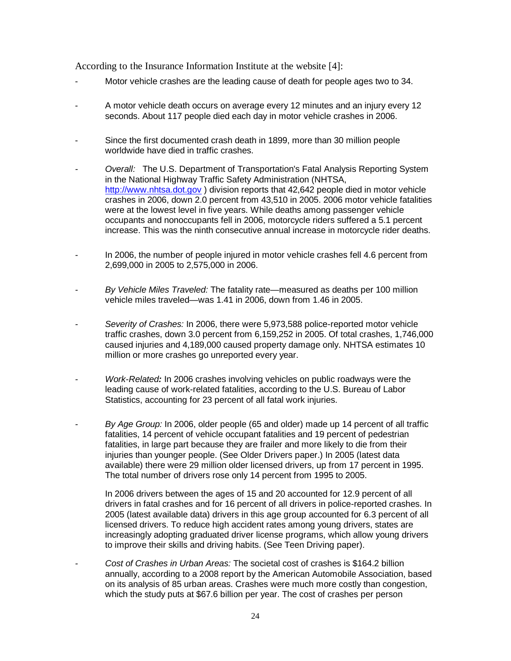According to the Insurance Information Institute at the website [4]:

- Motor vehicle crashes are the leading cause of death for people ages two to 34.
- A motor vehicle death occurs on average every 12 minutes and an injury every 12 seconds. About 117 people died each day in motor vehicle crashes in 2006.
- Since the first documented crash death in 1899, more than 30 million people worldwide have died in traffic crashes.
- *- Overall:* The U.S. Department of Transportation's Fatal Analysis Reporting System in the National Highway Traffic Safety Administration (NHTSA, http://www.nhtsa.dot.gov ) division reports that 42,642 people died in motor vehicle crashes in 2006, down 2.0 percent from 43,510 in 2005. 2006 motor vehicle fatalities were at the lowest level in five years. While deaths among passenger vehicle occupants and nonoccupants fell in 2006, motorcycle riders suffered a 5.1 percent increase. This was the ninth consecutive annual increase in motorcycle rider deaths.
- *-* In 2006, the number of people injured in motor vehicle crashes fell 4.6 percent from 2,699,000 in 2005 to 2,575,000 in 2006.
- *- By Vehicle Miles Traveled:* The fatality rate—measured as deaths per 100 million vehicle miles traveled—was 1.41 in 2006, down from 1.46 in 2005.
- *- Severity of Crashes:* In 2006, there were 5,973,588 police-reported motor vehicle traffic crashes, down 3.0 percent from 6,159,252 in 2005. Of total crashes, 1,746,000 caused injuries and 4,189,000 caused property damage only. NHTSA estimates 10 million or more crashes go unreported every year.
- *- Work-Related:* In 2006 crashes involving vehicles on public roadways were the leading cause of work-related fatalities, according to the U.S. Bureau of Labor Statistics, accounting for 23 percent of all fatal work injuries.
- *- By Age Group:* In 2006, older people (65 and older) made up 14 percent of all traffic fatalities, 14 percent of vehicle occupant fatalities and 19 percent of pedestrian fatalities, in large part because they are frailer and more likely to die from their injuries than younger people. (See Older Drivers paper.) In 2005 (latest data available) there were 29 million older licensed drivers, up from 17 percent in 1995. The total number of drivers rose only 14 percent from 1995 to 2005.

In 2006 drivers between the ages of 15 and 20 accounted for 12.9 percent of all drivers in fatal crashes and for 16 percent of all drivers in police-reported crashes. In 2005 (latest available data) drivers in this age group accounted for 6.3 percent of all licensed drivers. To reduce high accident rates among young drivers, states are increasingly adopting graduated driver license programs, which allow young drivers to improve their skills and driving habits. (See Teen Driving paper).

*- Cost of Crashes in Urban Areas:* The societal cost of crashes is \$164.2 billion annually, according to a 2008 report by the American Automobile Association, based on its analysis of 85 urban areas. Crashes were much more costly than congestion, which the study puts at \$67.6 billion per year. The cost of crashes per person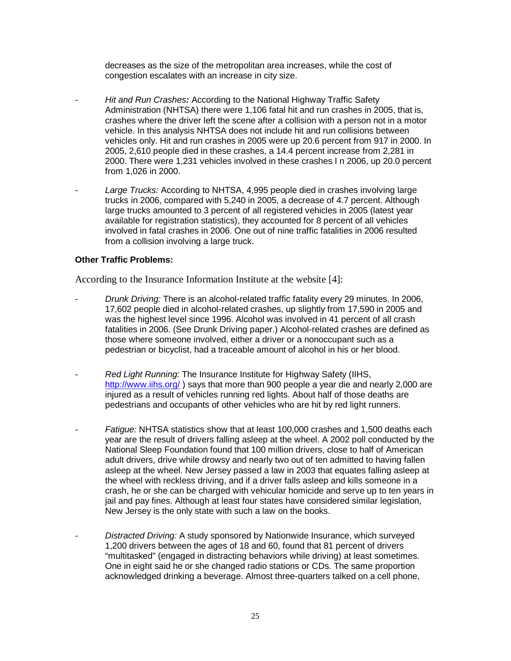decreases as the size of the metropolitan area increases, while the cost of congestion escalates with an increase in city size.

- *- Hit and Run Crashes:* According to the National Highway Traffic Safety Administration (NHTSA) there were 1,106 fatal hit and run crashes in 2005, that is, crashes where the driver left the scene after a collision with a person not in a motor vehicle. In this analysis NHTSA does not include hit and run collisions between vehicles only. Hit and run crashes in 2005 were up 20.6 percent from 917 in 2000. In 2005, 2,610 people died in these crashes, a 14.4 percent increase from 2,281 in 2000. There were 1,231 vehicles involved in these crashes I n 2006, up 20.0 percent from 1,026 in 2000.
- *- Large Trucks:* According to NHTSA, 4,995 people died in crashes involving large trucks in 2006, compared with 5,240 in 2005, a decrease of 4.7 percent. Although large trucks amounted to 3 percent of all registered vehicles in 2005 (latest year available for registration statistics), they accounted for 8 percent of all vehicles involved in fatal crashes in 2006. One out of nine traffic fatalities in 2006 resulted from a collision involving a large truck.

### **Other Traffic Problems:**

According to the Insurance Information Institute at the website [4]:

- *- Drunk Driving:* There is an alcohol-related traffic fatality every 29 minutes. In 2006, 17,602 people died in alcohol-related crashes, up slightly from 17,590 in 2005 and was the highest level since 1996. Alcohol was involved in 41 percent of all crash fatalities in 2006. (See Drunk Driving paper.) Alcohol-related crashes are defined as those where someone involved, either a driver or a nonoccupant such as a pedestrian or bicyclist, had a traceable amount of alcohol in his or her blood.
- *- Red Light Running:* The Insurance Institute for Highway Safety (IIHS, http://www.iihs.org/ ) says that more than 900 people a year die and nearly 2,000 are injured as a result of vehicles running red lights. About half of those deaths are pedestrians and occupants of other vehicles who are hit by red light runners.
- *- Fatigue:* NHTSA statistics show that at least 100,000 crashes and 1,500 deaths each year are the result of drivers falling asleep at the wheel. A 2002 poll conducted by the National Sleep Foundation found that 100 million drivers, close to half of American adult drivers, drive while drowsy and nearly two out of ten admitted to having fallen asleep at the wheel. New Jersey passed a law in 2003 that equates falling asleep at the wheel with reckless driving, and if a driver falls asleep and kills someone in a crash, he or she can be charged with vehicular homicide and serve up to ten years in jail and pay fines. Although at least four states have considered similar legislation, New Jersey is the only state with such a law on the books.
- *- Distracted Driving:* A study sponsored by Nationwide Insurance, which surveyed 1,200 drivers between the ages of 18 and 60, found that 81 percent of drivers "multitasked" (engaged in distracting behaviors while driving) at least sometimes. One in eight said he or she changed radio stations or CDs. The same proportion acknowledged drinking a beverage. Almost three-quarters talked on a cell phone,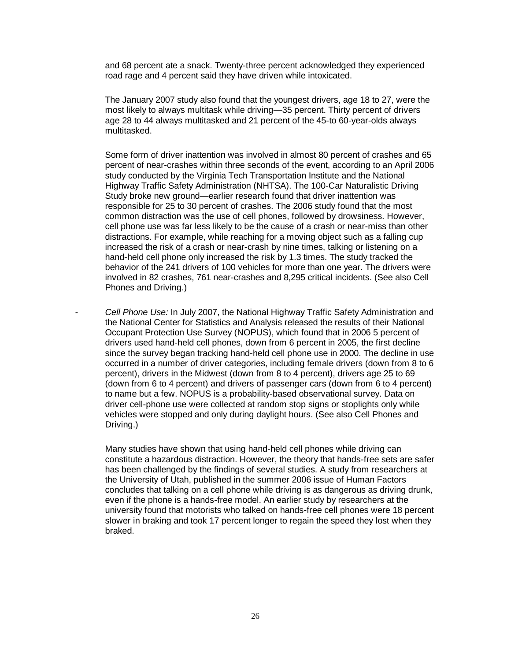and 68 percent ate a snack. Twenty-three percent acknowledged they experienced road rage and 4 percent said they have driven while intoxicated.

The January 2007 study also found that the youngest drivers, age 18 to 27, were the most likely to always multitask while driving—35 percent. Thirty percent of drivers age 28 to 44 always multitasked and 21 percent of the 45-to 60-year-olds always multitasked.

Some form of driver inattention was involved in almost 80 percent of crashes and 65 percent of near-crashes within three seconds of the event, according to an April 2006 study conducted by the Virginia Tech Transportation Institute and the National Highway Traffic Safety Administration (NHTSA). The 100-Car Naturalistic Driving Study broke new ground—earlier research found that driver inattention was responsible for 25 to 30 percent of crashes. The 2006 study found that the most common distraction was the use of cell phones, followed by drowsiness. However, cell phone use was far less likely to be the cause of a crash or near-miss than other distractions. For example, while reaching for a moving object such as a falling cup increased the risk of a crash or near-crash by nine times, talking or listening on a hand-held cell phone only increased the risk by 1.3 times. The study tracked the behavior of the 241 drivers of 100 vehicles for more than one year. The drivers were involved in 82 crashes, 761 near-crashes and 8,295 critical incidents. (See also Cell Phones and Driving.)

*- Cell Phone Use:* In July 2007, the National Highway Traffic Safety Administration and the National Center for Statistics and Analysis released the results of their National Occupant Protection Use Survey (NOPUS), which found that in 2006 5 percent of drivers used hand-held cell phones, down from 6 percent in 2005, the first decline since the survey began tracking hand-held cell phone use in 2000. The decline in use occurred in a number of driver categories, including female drivers (down from 8 to 6 percent), drivers in the Midwest (down from 8 to 4 percent), drivers age 25 to 69 (down from 6 to 4 percent) and drivers of passenger cars (down from 6 to 4 percent) to name but a few. NOPUS is a probability-based observational survey. Data on driver cell-phone use were collected at random stop signs or stoplights only while vehicles were stopped and only during daylight hours. (See also Cell Phones and Driving.)

Many studies have shown that using hand-held cell phones while driving can constitute a hazardous distraction. However, the theory that hands-free sets are safer has been challenged by the findings of several studies. A study from researchers at the University of Utah, published in the summer 2006 issue of Human Factors concludes that talking on a cell phone while driving is as dangerous as driving drunk, even if the phone is a hands-free model. An earlier study by researchers at the university found that motorists who talked on hands-free cell phones were 18 percent slower in braking and took 17 percent longer to regain the speed they lost when they braked.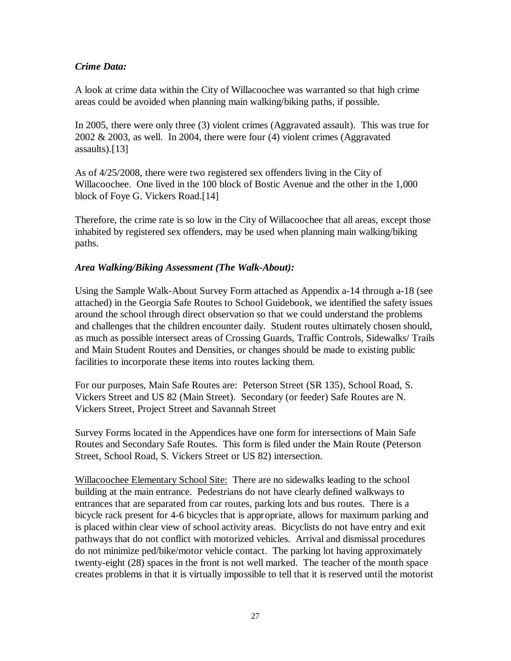### *Crime Data:*

A look at crime data within the City of Willacoochee was warranted so that high crime areas could be avoided when planning main walking/biking paths, if possible.

In 2005, there were only three (3) violent crimes (Aggravated assault). This was true for 2002 & 2003, as well. In 2004, there were four (4) violent crimes (Aggravated assaults).[13]

As of 4/25/2008, there were two registered sex offenders living in the City of Willacoochee. One lived in the 100 block of Bostic Avenue and the other in the 1,000 block of Foye G. Vickers Road.[14]

Therefore, the crime rate is so low in the City of Willacoochee that all areas, except those inhabited by registered sex offenders, may be used when planning main walking/biking paths.

### *Area Walking/Biking Assessment (The Walk-About):*

Using the Sample Walk-About Survey Form attached as Appendix a-14 through a-18 (see attached) in the Georgia Safe Routes to School Guidebook, we identified the safety issues around the school through direct observation so that we could understand the problems and challenges that the children encounter daily. Student routes ultimately chosen should, as much as possible intersect areas of Crossing Guards, Traffic Controls, Sidewalks/ Trails and Main Student Routes and Densities, or changes should be made to existing public facilities to incorporate these items into routes lacking them.

For our purposes, Main Safe Routes are: Peterson Street (SR 135), School Road, S. Vickers Street and US 82 (Main Street). Secondary (or feeder) Safe Routes are N. Vickers Street, Project Street and Savannah Street

Survey Forms located in the Appendices have one form for intersections of Main Safe Routes and Secondary Safe Routes. This form is filed under the Main Route (Peterson Street, School Road, S. Vickers Street or US 82) intersection.

Willacoochee Elementary School Site: There are no sidewalks leading to the school building at the main entrance. Pedestrians do not have clearly defined walkways to entrances that are separated from car routes, parking lots and bus routes. There is a bicycle rack present for 4-6 bicycles that is appropriate, allows for maximum parking and is placed within clear view of school activity areas. Bicyclists do not have entry and exit pathways that do not conflict with motorized vehicles. Arrival and dismissal procedures do not minimize ped/bike/motor vehicle contact. The parking lot having approximately twenty-eight (28) spaces in the front is not well marked. The teacher of the month space creates problems in that it is virtually impossible to tell that it is reserved until the motorist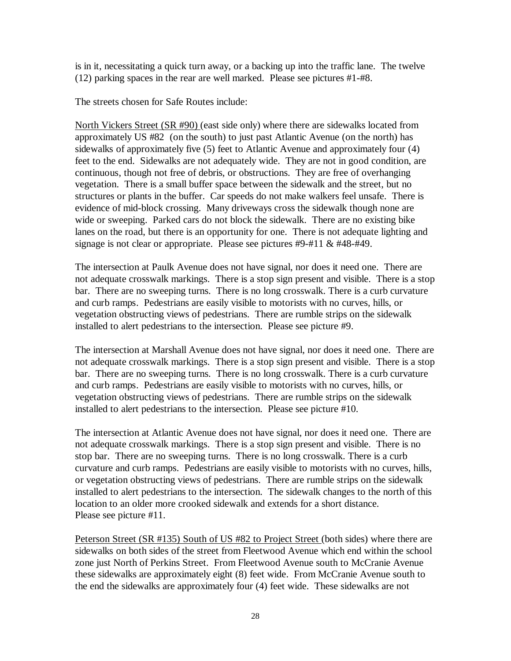is in it, necessitating a quick turn away, or a backing up into the traffic lane. The twelve (12) parking spaces in the rear are well marked. Please see pictures #1-#8.

The streets chosen for Safe Routes include:

North Vickers Street (SR #90) (east side only) where there are sidewalks located from approximately US #82 (on the south) to just past Atlantic Avenue (on the north) has sidewalks of approximately five (5) feet to Atlantic Avenue and approximately four (4) feet to the end. Sidewalks are not adequately wide. They are not in good condition, are continuous, though not free of debris, or obstructions. They are free of overhanging vegetation. There is a small buffer space between the sidewalk and the street, but no structures or plants in the buffer. Car speeds do not make walkers feel unsafe. There is evidence of mid-block crossing. Many driveways cross the sidewalk though none are wide or sweeping. Parked cars do not block the sidewalk. There are no existing bike lanes on the road, but there is an opportunity for one. There is not adequate lighting and signage is not clear or appropriate. Please see pictures #9-#11 & #48-#49.

The intersection at Paulk Avenue does not have signal, nor does it need one. There are not adequate crosswalk markings. There is a stop sign present and visible. There is a stop bar. There are no sweeping turns. There is no long crosswalk. There is a curb curvature and curb ramps. Pedestrians are easily visible to motorists with no curves, hills, or vegetation obstructing views of pedestrians. There are rumble strips on the sidewalk installed to alert pedestrians to the intersection. Please see picture #9.

The intersection at Marshall Avenue does not have signal, nor does it need one. There are not adequate crosswalk markings. There is a stop sign present and visible. There is a stop bar. There are no sweeping turns. There is no long crosswalk. There is a curb curvature and curb ramps. Pedestrians are easily visible to motorists with no curves, hills, or vegetation obstructing views of pedestrians. There are rumble strips on the sidewalk installed to alert pedestrians to the intersection. Please see picture #10.

The intersection at Atlantic Avenue does not have signal, nor does it need one. There are not adequate crosswalk markings. There is a stop sign present and visible. There is no stop bar. There are no sweeping turns. There is no long crosswalk. There is a curb curvature and curb ramps. Pedestrians are easily visible to motorists with no curves, hills, or vegetation obstructing views of pedestrians. There are rumble strips on the sidewalk installed to alert pedestrians to the intersection. The sidewalk changes to the north of this location to an older more crooked sidewalk and extends for a short distance. Please see picture #11.

Peterson Street (SR #135) South of US #82 to Project Street (both sides) where there are sidewalks on both sides of the street from Fleetwood Avenue which end within the school zone just North of Perkins Street. From Fleetwood Avenue south to McCranie Avenue these sidewalks are approximately eight (8) feet wide. From McCranie Avenue south to the end the sidewalks are approximately four (4) feet wide. These sidewalks are not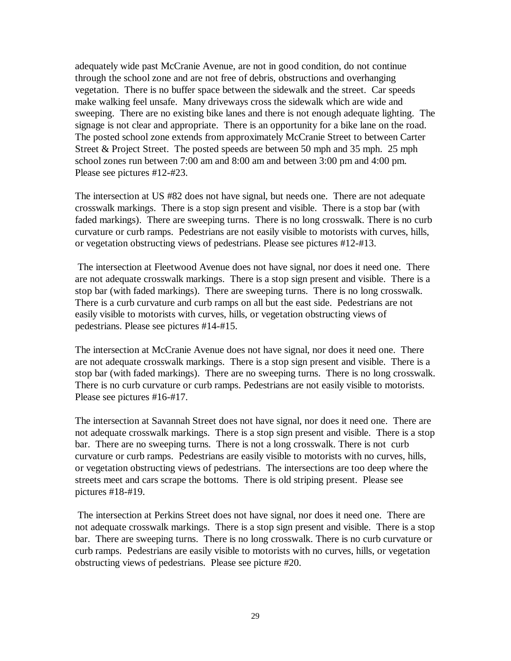adequately wide past McCranie Avenue, are not in good condition, do not continue through the school zone and are not free of debris, obstructions and overhanging vegetation. There is no buffer space between the sidewalk and the street. Car speeds make walking feel unsafe. Many driveways cross the sidewalk which are wide and sweeping. There are no existing bike lanes and there is not enough adequate lighting. The signage is not clear and appropriate. There is an opportunity for a bike lane on the road. The posted school zone extends from approximately McCranie Street to between Carter Street & Project Street. The posted speeds are between 50 mph and 35 mph. 25 mph school zones run between 7:00 am and 8:00 am and between 3:00 pm and 4:00 pm. Please see pictures #12-#23.

The intersection at US #82 does not have signal, but needs one. There are not adequate crosswalk markings. There is a stop sign present and visible. There is a stop bar (with faded markings). There are sweeping turns. There is no long crosswalk. There is no curb curvature or curb ramps. Pedestrians are not easily visible to motorists with curves, hills, or vegetation obstructing views of pedestrians. Please see pictures #12-#13.

The intersection at Fleetwood Avenue does not have signal, nor does it need one. There are not adequate crosswalk markings. There is a stop sign present and visible. There is a stop bar (with faded markings). There are sweeping turns. There is no long crosswalk. There is a curb curvature and curb ramps on all but the east side. Pedestrians are not easily visible to motorists with curves, hills, or vegetation obstructing views of pedestrians. Please see pictures #14-#15.

The intersection at McCranie Avenue does not have signal, nor does it need one. There are not adequate crosswalk markings. There is a stop sign present and visible. There is a stop bar (with faded markings). There are no sweeping turns. There is no long crosswalk. There is no curb curvature or curb ramps. Pedestrians are not easily visible to motorists. Please see pictures #16-#17.

The intersection at Savannah Street does not have signal, nor does it need one. There are not adequate crosswalk markings. There is a stop sign present and visible. There is a stop bar. There are no sweeping turns. There is not a long crosswalk. There is not curb curvature or curb ramps. Pedestrians are easily visible to motorists with no curves, hills, or vegetation obstructing views of pedestrians. The intersections are too deep where the streets meet and cars scrape the bottoms. There is old striping present. Please see pictures #18-#19.

The intersection at Perkins Street does not have signal, nor does it need one. There are not adequate crosswalk markings. There is a stop sign present and visible. There is a stop bar. There are sweeping turns. There is no long crosswalk. There is no curb curvature or curb ramps. Pedestrians are easily visible to motorists with no curves, hills, or vegetation obstructing views of pedestrians. Please see picture #20.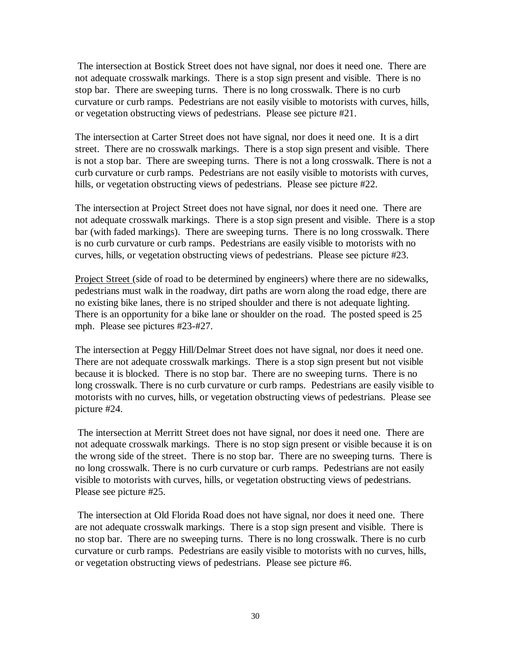The intersection at Bostick Street does not have signal, nor does it need one. There are not adequate crosswalk markings. There is a stop sign present and visible. There is no stop bar. There are sweeping turns. There is no long crosswalk. There is no curb curvature or curb ramps. Pedestrians are not easily visible to motorists with curves, hills, or vegetation obstructing views of pedestrians. Please see picture #21.

The intersection at Carter Street does not have signal, nor does it need one. It is a dirt street. There are no crosswalk markings. There is a stop sign present and visible. There is not a stop bar. There are sweeping turns. There is not a long crosswalk. There is not a curb curvature or curb ramps. Pedestrians are not easily visible to motorists with curves, hills, or vegetation obstructing views of pedestrians. Please see picture #22.

The intersection at Project Street does not have signal, nor does it need one. There are not adequate crosswalk markings. There is a stop sign present and visible. There is a stop bar (with faded markings). There are sweeping turns. There is no long crosswalk. There is no curb curvature or curb ramps. Pedestrians are easily visible to motorists with no curves, hills, or vegetation obstructing views of pedestrians. Please see picture #23.

Project Street (side of road to be determined by engineers) where there are no sidewalks, pedestrians must walk in the roadway, dirt paths are worn along the road edge, there are no existing bike lanes, there is no striped shoulder and there is not adequate lighting. There is an opportunity for a bike lane or shoulder on the road. The posted speed is 25 mph. Please see pictures #23-#27.

The intersection at Peggy Hill/Delmar Street does not have signal, nor does it need one. There are not adequate crosswalk markings. There is a stop sign present but not visible because it is blocked. There is no stop bar. There are no sweeping turns. There is no long crosswalk. There is no curb curvature or curb ramps. Pedestrians are easily visible to motorists with no curves, hills, or vegetation obstructing views of pedestrians. Please see picture #24.

The intersection at Merritt Street does not have signal, nor does it need one. There are not adequate crosswalk markings. There is no stop sign present or visible because it is on the wrong side of the street. There is no stop bar. There are no sweeping turns. There is no long crosswalk. There is no curb curvature or curb ramps. Pedestrians are not easily visible to motorists with curves, hills, or vegetation obstructing views of pedestrians. Please see picture #25.

The intersection at Old Florida Road does not have signal, nor does it need one. There are not adequate crosswalk markings. There is a stop sign present and visible. There is no stop bar. There are no sweeping turns. There is no long crosswalk. There is no curb curvature or curb ramps. Pedestrians are easily visible to motorists with no curves, hills, or vegetation obstructing views of pedestrians. Please see picture #6.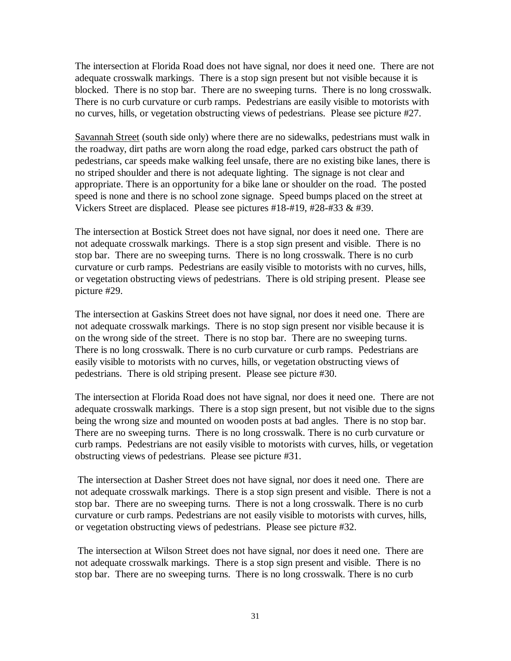The intersection at Florida Road does not have signal, nor does it need one. There are not adequate crosswalk markings. There is a stop sign present but not visible because it is blocked. There is no stop bar. There are no sweeping turns. There is no long crosswalk. There is no curb curvature or curb ramps. Pedestrians are easily visible to motorists with no curves, hills, or vegetation obstructing views of pedestrians. Please see picture #27.

Savannah Street (south side only) where there are no sidewalks, pedestrians must walk in the roadway, dirt paths are worn along the road edge, parked cars obstruct the path of pedestrians, car speeds make walking feel unsafe, there are no existing bike lanes, there is no striped shoulder and there is not adequate lighting. The signage is not clear and appropriate. There is an opportunity for a bike lane or shoulder on the road. The posted speed is none and there is no school zone signage. Speed bumps placed on the street at Vickers Street are displaced. Please see pictures #18-#19, #28-#33 & #39.

The intersection at Bostick Street does not have signal, nor does it need one. There are not adequate crosswalk markings. There is a stop sign present and visible. There is no stop bar. There are no sweeping turns. There is no long crosswalk. There is no curb curvature or curb ramps. Pedestrians are easily visible to motorists with no curves, hills, or vegetation obstructing views of pedestrians. There is old striping present. Please see picture #29.

The intersection at Gaskins Street does not have signal, nor does it need one. There are not adequate crosswalk markings. There is no stop sign present nor visible because it is on the wrong side of the street. There is no stop bar. There are no sweeping turns. There is no long crosswalk. There is no curb curvature or curb ramps. Pedestrians are easily visible to motorists with no curves, hills, or vegetation obstructing views of pedestrians. There is old striping present. Please see picture #30.

The intersection at Florida Road does not have signal, nor does it need one. There are not adequate crosswalk markings. There is a stop sign present, but not visible due to the signs being the wrong size and mounted on wooden posts at bad angles. There is no stop bar. There are no sweeping turns. There is no long crosswalk. There is no curb curvature or curb ramps. Pedestrians are not easily visible to motorists with curves, hills, or vegetation obstructing views of pedestrians. Please see picture #31.

The intersection at Dasher Street does not have signal, nor does it need one. There are not adequate crosswalk markings. There is a stop sign present and visible. There is not a stop bar. There are no sweeping turns. There is not a long crosswalk. There is no curb curvature or curb ramps. Pedestrians are not easily visible to motorists with curves, hills, or vegetation obstructing views of pedestrians. Please see picture #32.

The intersection at Wilson Street does not have signal, nor does it need one. There are not adequate crosswalk markings. There is a stop sign present and visible. There is no stop bar. There are no sweeping turns. There is no long crosswalk. There is no curb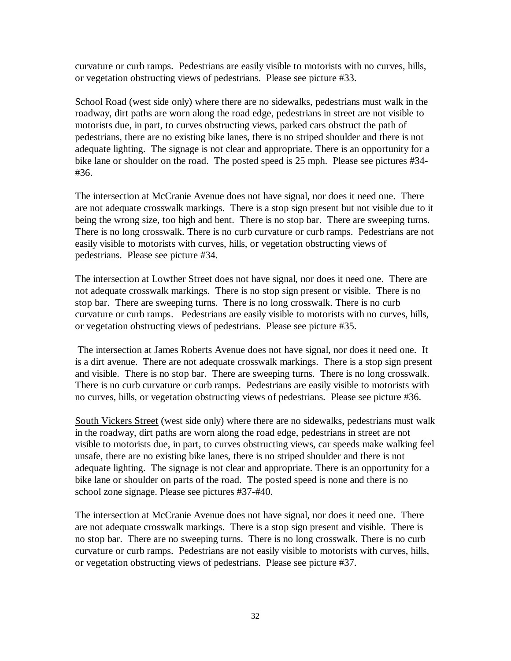curvature or curb ramps. Pedestrians are easily visible to motorists with no curves, hills, or vegetation obstructing views of pedestrians. Please see picture #33.

School Road (west side only) where there are no sidewalks, pedestrians must walk in the roadway, dirt paths are worn along the road edge, pedestrians in street are not visible to motorists due, in part, to curves obstructing views, parked cars obstruct the path of pedestrians, there are no existing bike lanes, there is no striped shoulder and there is not adequate lighting. The signage is not clear and appropriate. There is an opportunity for a bike lane or shoulder on the road. The posted speed is 25 mph. Please see pictures #34- #36.

The intersection at McCranie Avenue does not have signal, nor does it need one. There are not adequate crosswalk markings. There is a stop sign present but not visible due to it being the wrong size, too high and bent. There is no stop bar. There are sweeping turns. There is no long crosswalk. There is no curb curvature or curb ramps. Pedestrians are not easily visible to motorists with curves, hills, or vegetation obstructing views of pedestrians. Please see picture #34.

The intersection at Lowther Street does not have signal, nor does it need one. There are not adequate crosswalk markings. There is no stop sign present or visible. There is no stop bar. There are sweeping turns. There is no long crosswalk. There is no curb curvature or curb ramps. Pedestrians are easily visible to motorists with no curves, hills, or vegetation obstructing views of pedestrians. Please see picture #35.

The intersection at James Roberts Avenue does not have signal, nor does it need one. It is a dirt avenue. There are not adequate crosswalk markings. There is a stop sign present and visible. There is no stop bar. There are sweeping turns. There is no long crosswalk. There is no curb curvature or curb ramps. Pedestrians are easily visible to motorists with no curves, hills, or vegetation obstructing views of pedestrians. Please see picture #36.

South Vickers Street (west side only) where there are no sidewalks, pedestrians must walk in the roadway, dirt paths are worn along the road edge, pedestrians in street are not visible to motorists due, in part, to curves obstructing views, car speeds make walking feel unsafe, there are no existing bike lanes, there is no striped shoulder and there is not adequate lighting. The signage is not clear and appropriate. There is an opportunity for a bike lane or shoulder on parts of the road. The posted speed is none and there is no school zone signage. Please see pictures #37-#40.

The intersection at McCranie Avenue does not have signal, nor does it need one. There are not adequate crosswalk markings. There is a stop sign present and visible. There is no stop bar. There are no sweeping turns. There is no long crosswalk. There is no curb curvature or curb ramps. Pedestrians are not easily visible to motorists with curves, hills, or vegetation obstructing views of pedestrians. Please see picture #37.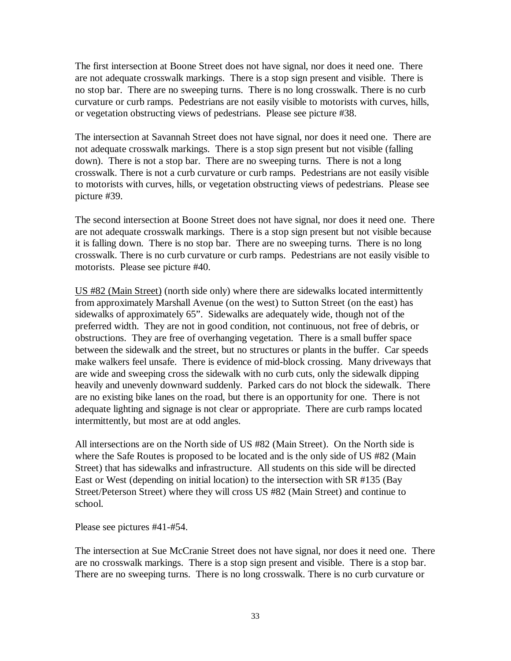The first intersection at Boone Street does not have signal, nor does it need one. There are not adequate crosswalk markings. There is a stop sign present and visible. There is no stop bar. There are no sweeping turns. There is no long crosswalk. There is no curb curvature or curb ramps. Pedestrians are not easily visible to motorists with curves, hills, or vegetation obstructing views of pedestrians. Please see picture #38.

The intersection at Savannah Street does not have signal, nor does it need one. There are not adequate crosswalk markings. There is a stop sign present but not visible (falling down). There is not a stop bar. There are no sweeping turns. There is not a long crosswalk. There is not a curb curvature or curb ramps. Pedestrians are not easily visible to motorists with curves, hills, or vegetation obstructing views of pedestrians. Please see picture #39.

The second intersection at Boone Street does not have signal, nor does it need one. There are not adequate crosswalk markings. There is a stop sign present but not visible because it is falling down. There is no stop bar. There are no sweeping turns. There is no long crosswalk. There is no curb curvature or curb ramps. Pedestrians are not easily visible to motorists. Please see picture #40.

US #82 (Main Street) (north side only) where there are sidewalks located intermittently from approximately Marshall Avenue (on the west) to Sutton Street (on the east) has sidewalks of approximately 65". Sidewalks are adequately wide, though not of the preferred width. They are not in good condition, not continuous, not free of debris, or obstructions. They are free of overhanging vegetation. There is a small buffer space between the sidewalk and the street, but no structures or plants in the buffer. Car speeds make walkers feel unsafe. There is evidence of mid-block crossing. Many driveways that are wide and sweeping cross the sidewalk with no curb cuts, only the sidewalk dipping heavily and unevenly downward suddenly. Parked cars do not block the sidewalk. There are no existing bike lanes on the road, but there is an opportunity for one. There is not adequate lighting and signage is not clear or appropriate. There are curb ramps located intermittently, but most are at odd angles.

All intersections are on the North side of US #82 (Main Street). On the North side is where the Safe Routes is proposed to be located and is the only side of US #82 (Main Street) that has sidewalks and infrastructure. All students on this side will be directed East or West (depending on initial location) to the intersection with SR #135 (Bay Street/Peterson Street) where they will cross US #82 (Main Street) and continue to school.

Please see pictures #41-#54.

The intersection at Sue McCranie Street does not have signal, nor does it need one. There are no crosswalk markings. There is a stop sign present and visible. There is a stop bar. There are no sweeping turns. There is no long crosswalk. There is no curb curvature or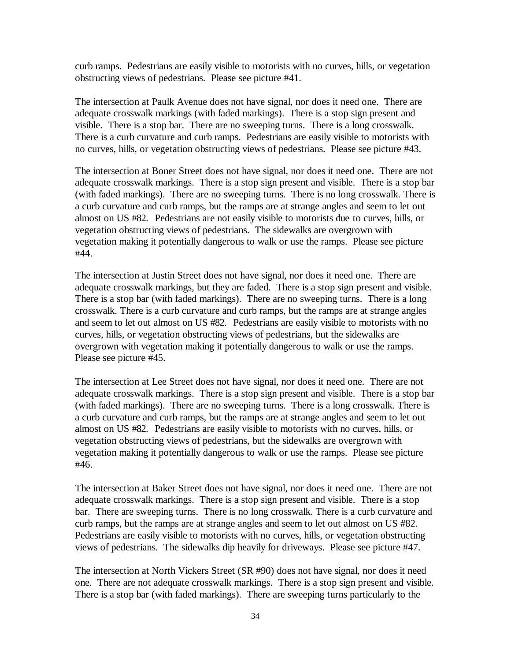curb ramps. Pedestrians are easily visible to motorists with no curves, hills, or vegetation obstructing views of pedestrians. Please see picture #41.

The intersection at Paulk Avenue does not have signal, nor does it need one. There are adequate crosswalk markings (with faded markings). There is a stop sign present and visible. There is a stop bar. There are no sweeping turns. There is a long crosswalk. There is a curb curvature and curb ramps. Pedestrians are easily visible to motorists with no curves, hills, or vegetation obstructing views of pedestrians. Please see picture #43.

The intersection at Boner Street does not have signal, nor does it need one. There are not adequate crosswalk markings. There is a stop sign present and visible. There is a stop bar (with faded markings). There are no sweeping turns. There is no long crosswalk. There is a curb curvature and curb ramps, but the ramps are at strange angles and seem to let out almost on US #82. Pedestrians are not easily visible to motorists due to curves, hills, or vegetation obstructing views of pedestrians. The sidewalks are overgrown with vegetation making it potentially dangerous to walk or use the ramps. Please see picture #44.

The intersection at Justin Street does not have signal, nor does it need one. There are adequate crosswalk markings, but they are faded. There is a stop sign present and visible. There is a stop bar (with faded markings). There are no sweeping turns. There is a long crosswalk. There is a curb curvature and curb ramps, but the ramps are at strange angles and seem to let out almost on US #82. Pedestrians are easily visible to motorists with no curves, hills, or vegetation obstructing views of pedestrians, but the sidewalks are overgrown with vegetation making it potentially dangerous to walk or use the ramps. Please see picture #45.

The intersection at Lee Street does not have signal, nor does it need one. There are not adequate crosswalk markings. There is a stop sign present and visible. There is a stop bar (with faded markings). There are no sweeping turns. There is a long crosswalk. There is a curb curvature and curb ramps, but the ramps are at strange angles and seem to let out almost on US #82. Pedestrians are easily visible to motorists with no curves, hills, or vegetation obstructing views of pedestrians, but the sidewalks are overgrown with vegetation making it potentially dangerous to walk or use the ramps. Please see picture #46.

The intersection at Baker Street does not have signal, nor does it need one. There are not adequate crosswalk markings. There is a stop sign present and visible. There is a stop bar. There are sweeping turns. There is no long crosswalk. There is a curb curvature and curb ramps, but the ramps are at strange angles and seem to let out almost on US #82. Pedestrians are easily visible to motorists with no curves, hills, or vegetation obstructing views of pedestrians. The sidewalks dip heavily for driveways. Please see picture #47.

The intersection at North Vickers Street (SR #90) does not have signal, nor does it need one. There are not adequate crosswalk markings. There is a stop sign present and visible. There is a stop bar (with faded markings). There are sweeping turns particularly to the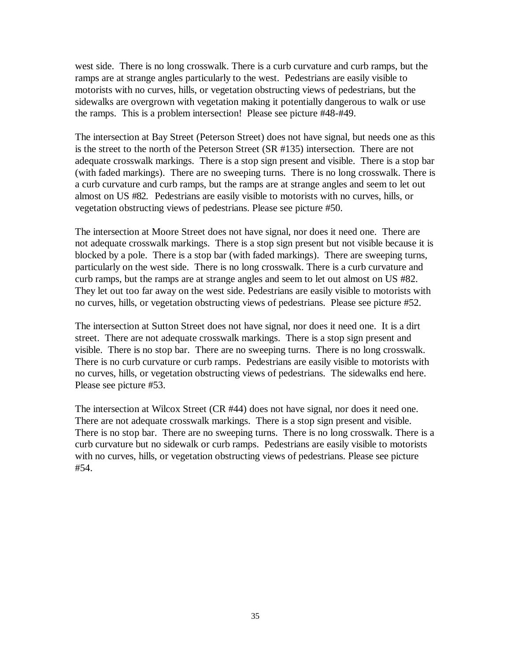west side. There is no long crosswalk. There is a curb curvature and curb ramps, but the ramps are at strange angles particularly to the west. Pedestrians are easily visible to motorists with no curves, hills, or vegetation obstructing views of pedestrians, but the sidewalks are overgrown with vegetation making it potentially dangerous to walk or use the ramps. This is a problem intersection! Please see picture #48-#49.

The intersection at Bay Street (Peterson Street) does not have signal, but needs one as this is the street to the north of the Peterson Street (SR #135) intersection. There are not adequate crosswalk markings. There is a stop sign present and visible. There is a stop bar (with faded markings). There are no sweeping turns. There is no long crosswalk. There is a curb curvature and curb ramps, but the ramps are at strange angles and seem to let out almost on US #82. Pedestrians are easily visible to motorists with no curves, hills, or vegetation obstructing views of pedestrians. Please see picture #50.

The intersection at Moore Street does not have signal, nor does it need one. There are not adequate crosswalk markings. There is a stop sign present but not visible because it is blocked by a pole. There is a stop bar (with faded markings). There are sweeping turns, particularly on the west side. There is no long crosswalk. There is a curb curvature and curb ramps, but the ramps are at strange angles and seem to let out almost on US #82. They let out too far away on the west side. Pedestrians are easily visible to motorists with no curves, hills, or vegetation obstructing views of pedestrians. Please see picture #52.

The intersection at Sutton Street does not have signal, nor does it need one. It is a dirt street. There are not adequate crosswalk markings. There is a stop sign present and visible. There is no stop bar. There are no sweeping turns. There is no long crosswalk. There is no curb curvature or curb ramps. Pedestrians are easily visible to motorists with no curves, hills, or vegetation obstructing views of pedestrians. The sidewalks end here. Please see picture #53.

The intersection at Wilcox Street (CR #44) does not have signal, nor does it need one. There are not adequate crosswalk markings. There is a stop sign present and visible. There is no stop bar. There are no sweeping turns. There is no long crosswalk. There is a curb curvature but no sidewalk or curb ramps. Pedestrians are easily visible to motorists with no curves, hills, or vegetation obstructing views of pedestrians. Please see picture #54.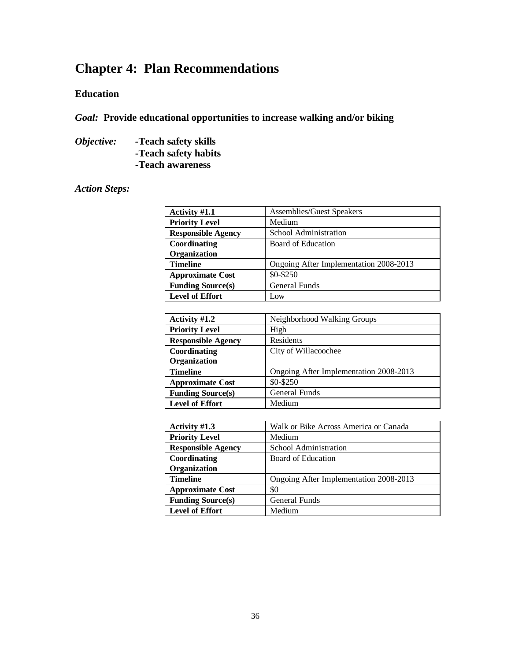# **Chapter 4: Plan Recommendations**

### **Education**

*Goal:* **Provide educational opportunities to increase walking and/or biking**

*Objective: -***Teach safety skills -Teach safety habits -Teach awareness**

### *Action Steps:*

| Activity #1.1             | <b>Assemblies/Guest Speakers</b>       |
|---------------------------|----------------------------------------|
| <b>Priority Level</b>     | Medium                                 |
| <b>Responsible Agency</b> | School Administration                  |
| Coordinating              | Board of Education                     |
| Organization              |                                        |
| <b>Timeline</b>           | Ongoing After Implementation 2008-2013 |
| <b>Approximate Cost</b>   | \$0-\$250                              |
| <b>Funding Source(s)</b>  | <b>General Funds</b>                   |
| <b>Level of Effort</b>    | Low                                    |

| Activity #1.2             | Neighborhood Walking Groups            |
|---------------------------|----------------------------------------|
| <b>Priority Level</b>     | High                                   |
| <b>Responsible Agency</b> | Residents                              |
| Coordinating              | City of Willacoochee                   |
| Organization              |                                        |
| <b>Timeline</b>           | Ongoing After Implementation 2008-2013 |
| <b>Approximate Cost</b>   | \$0-\$250                              |
| <b>Funding Source(s)</b>  | <b>General Funds</b>                   |
| <b>Level of Effort</b>    | Medium                                 |

| Activity #1.3             | Walk or Bike Across America or Canada  |
|---------------------------|----------------------------------------|
| <b>Priority Level</b>     | Medium                                 |
| <b>Responsible Agency</b> | School Administration                  |
| Coordinating              | Board of Education                     |
| Organization              |                                        |
| <b>Timeline</b>           | Ongoing After Implementation 2008-2013 |
| <b>Approximate Cost</b>   | \$0                                    |
| <b>Funding Source(s)</b>  | <b>General Funds</b>                   |
| <b>Level of Effort</b>    | Medium                                 |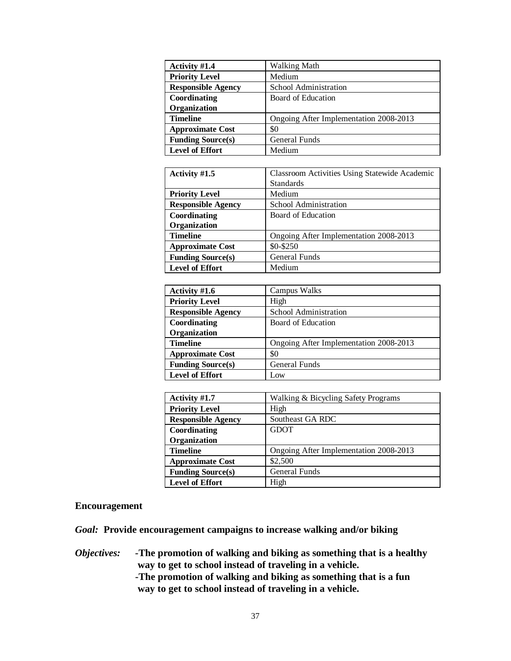| Activity #1.4             | Walking Math                           |
|---------------------------|----------------------------------------|
| <b>Priority Level</b>     | Medium                                 |
| <b>Responsible Agency</b> | School Administration                  |
| Coordinating              | Board of Education                     |
| Organization              |                                        |
| <b>Timeline</b>           | Ongoing After Implementation 2008-2013 |
| <b>Approximate Cost</b>   | \$0                                    |
| <b>Funding Source(s)</b>  | <b>General Funds</b>                   |
| <b>Level of Effort</b>    | Medium                                 |

| Activity #1.5             | <b>Classroom Activities Using Statewide Academic</b> |
|---------------------------|------------------------------------------------------|
|                           | <b>Standards</b>                                     |
| <b>Priority Level</b>     | Medium                                               |
| <b>Responsible Agency</b> | School Administration                                |
| Coordinating              | Board of Education                                   |
| Organization              |                                                      |
| <b>Timeline</b>           | Ongoing After Implementation 2008-2013               |
| <b>Approximate Cost</b>   | \$0-\$250                                            |
| <b>Funding Source(s)</b>  | <b>General Funds</b>                                 |
| <b>Level of Effort</b>    | Medium                                               |

| Activity #1.6             | Campus Walks                           |
|---------------------------|----------------------------------------|
| <b>Priority Level</b>     | High                                   |
| <b>Responsible Agency</b> | School Administration                  |
| Coordinating              | Board of Education                     |
| Organization              |                                        |
| <b>Timeline</b>           | Ongoing After Implementation 2008-2013 |
| <b>Approximate Cost</b>   | \$0                                    |
| <b>Funding Source(s)</b>  | General Funds                          |
| <b>Level of Effort</b>    | Low                                    |

| Activity #1.7             | Walking & Bicycling Safety Programs    |
|---------------------------|----------------------------------------|
| <b>Priority Level</b>     | High                                   |
| <b>Responsible Agency</b> | Southeast GA RDC                       |
| Coordinating              | <b>GDOT</b>                            |
| Organization              |                                        |
| <b>Timeline</b>           | Ongoing After Implementation 2008-2013 |
| <b>Approximate Cost</b>   | \$2,500                                |
| <b>Funding Source(s)</b>  | <b>General Funds</b>                   |
| <b>Level of Effort</b>    | High                                   |

### **Encouragement**

*Goal:* **Provide encouragement campaigns to increase walking and/or biking**

- *Objectives: -***The promotion of walking and biking as something that is a healthy way to get to school instead of traveling in a vehicle.**
	- **-The promotion of walking and biking as something that is a fun way to get to school instead of traveling in a vehicle.**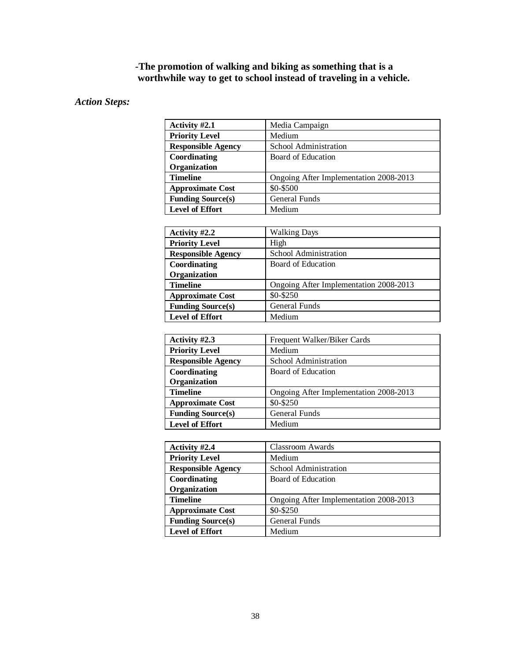### **-The promotion of walking and biking as something that is a worthwhile way to get to school instead of traveling in a vehicle.**

### *Action Steps:*

| Activity #2.1             | Media Campaign                         |
|---------------------------|----------------------------------------|
| <b>Priority Level</b>     | Medium                                 |
| <b>Responsible Agency</b> | School Administration                  |
| Coordinating              | Board of Education                     |
| Organization              |                                        |
| <b>Timeline</b>           | Ongoing After Implementation 2008-2013 |
| <b>Approximate Cost</b>   | \$0-\$500                              |
| <b>Funding Source(s)</b>  | <b>General Funds</b>                   |
| <b>Level of Effort</b>    | Medium                                 |

| Activity #2.2             | <b>Walking Days</b>                    |
|---------------------------|----------------------------------------|
| <b>Priority Level</b>     | High                                   |
| <b>Responsible Agency</b> | School Administration                  |
| Coordinating              | Board of Education                     |
| Organization              |                                        |
| <b>Timeline</b>           | Ongoing After Implementation 2008-2013 |
| <b>Approximate Cost</b>   | \$0-\$250                              |
| <b>Funding Source(s)</b>  | <b>General Funds</b>                   |
| <b>Level of Effort</b>    | Medium                                 |

| Activity #2.3             | Frequent Walker/Biker Cards            |
|---------------------------|----------------------------------------|
| <b>Priority Level</b>     | Medium                                 |
| <b>Responsible Agency</b> | School Administration                  |
| Coordinating              | Board of Education                     |
| Organization              |                                        |
| <b>Timeline</b>           | Ongoing After Implementation 2008-2013 |
| <b>Approximate Cost</b>   | \$0-\$250                              |
| <b>Funding Source(s)</b>  | <b>General Funds</b>                   |
| <b>Level of Effort</b>    | Medium                                 |

| Activity #2.4             | <b>Classroom Awards</b>                |
|---------------------------|----------------------------------------|
| <b>Priority Level</b>     | Medium                                 |
| <b>Responsible Agency</b> | School Administration                  |
| Coordinating              | Board of Education                     |
| Organization              |                                        |
| <b>Timeline</b>           | Ongoing After Implementation 2008-2013 |
| <b>Approximate Cost</b>   | \$0-\$250                              |
| <b>Funding Source(s)</b>  | <b>General Funds</b>                   |
| <b>Level of Effort</b>    | Medium                                 |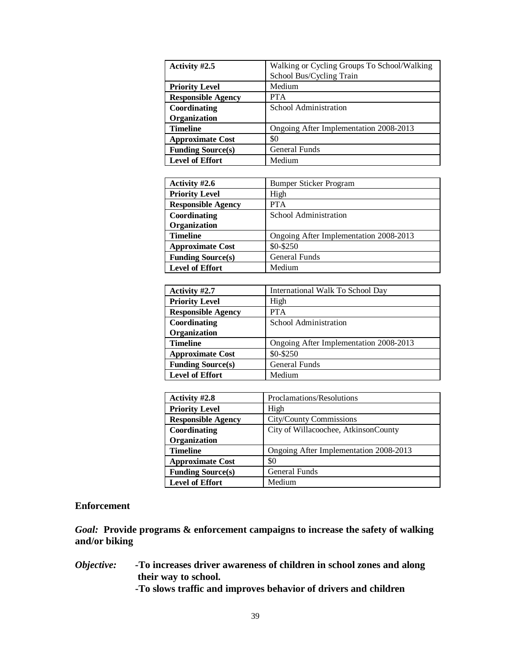| Activity #2.5             | Walking or Cycling Groups To School/Walking<br>School Bus/Cycling Train |
|---------------------------|-------------------------------------------------------------------------|
| <b>Priority Level</b>     | Medium                                                                  |
| <b>Responsible Agency</b> | <b>PTA</b>                                                              |
| Coordinating              | School Administration                                                   |
| Organization              |                                                                         |
| <b>Timeline</b>           | Ongoing After Implementation 2008-2013                                  |
| <b>Approximate Cost</b>   | \$0                                                                     |
| <b>Funding Source(s)</b>  | <b>General Funds</b>                                                    |
| <b>Level of Effort</b>    | Medium                                                                  |

| Activity #2.6             | <b>Bumper Sticker Program</b>          |
|---------------------------|----------------------------------------|
| <b>Priority Level</b>     | High                                   |
| <b>Responsible Agency</b> | <b>PTA</b>                             |
| Coordinating              | School Administration                  |
| Organization              |                                        |
| <b>Timeline</b>           | Ongoing After Implementation 2008-2013 |
| <b>Approximate Cost</b>   | \$0-\$250                              |
| <b>Funding Source(s)</b>  | <b>General Funds</b>                   |
| <b>Level of Effort</b>    | Medium                                 |

| Activity #2.7             | International Walk To School Day       |
|---------------------------|----------------------------------------|
| <b>Priority Level</b>     | High                                   |
| <b>Responsible Agency</b> | <b>PTA</b>                             |
| Coordinating              | School Administration                  |
| Organization              |                                        |
| <b>Timeline</b>           | Ongoing After Implementation 2008-2013 |
| <b>Approximate Cost</b>   | \$0-\$250                              |
| <b>Funding Source(s)</b>  | <b>General Funds</b>                   |
| <b>Level of Effort</b>    | Medium                                 |

| Activity #2.8             | Proclamations/Resolutions              |
|---------------------------|----------------------------------------|
| <b>Priority Level</b>     | High                                   |
| <b>Responsible Agency</b> | <b>City/County Commissions</b>         |
| Coordinating              | City of Willacoochee, AtkinsonCounty   |
| Organization              |                                        |
| <b>Timeline</b>           | Ongoing After Implementation 2008-2013 |
| <b>Approximate Cost</b>   | \$0                                    |
| <b>Funding Source(s)</b>  | <b>General Funds</b>                   |
| <b>Level of Effort</b>    | Medium                                 |

### **Enforcement**

*Goal:* **Provide programs & enforcement campaigns to increase the safety of walking and/or biking**

*Objective: -***To increases driver awareness of children in school zones and along their way to school.** 

**-To slows traffic and improves behavior of drivers and children**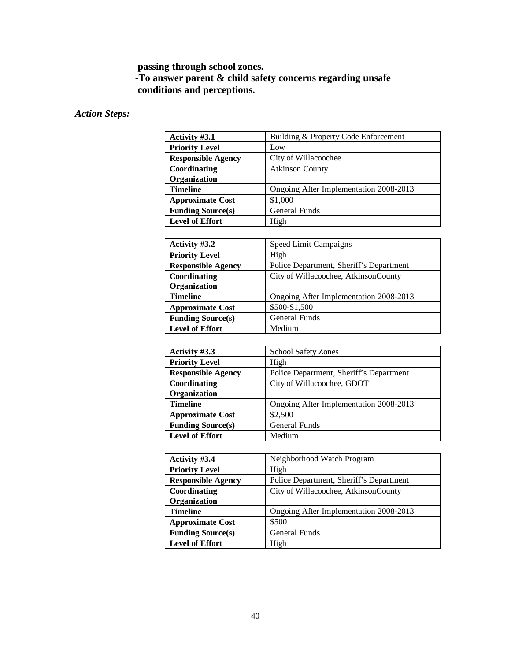## **passing through school zones.**

### **-To answer parent & child safety concerns regarding unsafe conditions and perceptions.**

### *Action Steps:*

| Activity #3.1             | Building & Property Code Enforcement   |
|---------------------------|----------------------------------------|
| <b>Priority Level</b>     | Low                                    |
| <b>Responsible Agency</b> | City of Willacoochee                   |
| Coordinating              | <b>Atkinson County</b>                 |
| Organization              |                                        |
| <b>Timeline</b>           | Ongoing After Implementation 2008-2013 |
| <b>Approximate Cost</b>   | \$1,000                                |
| <b>Funding Source(s)</b>  | General Funds                          |
| <b>Level of Effort</b>    | High                                   |

| Activity #3.2             | Speed Limit Campaigns                   |
|---------------------------|-----------------------------------------|
| <b>Priority Level</b>     | High                                    |
| <b>Responsible Agency</b> | Police Department, Sheriff's Department |
| Coordinating              | City of Willacoochee, AtkinsonCounty    |
| Organization              |                                         |
| <b>Timeline</b>           | Ongoing After Implementation 2008-2013  |
| <b>Approximate Cost</b>   | \$500-\$1,500                           |
| <b>Funding Source(s)</b>  | <b>General Funds</b>                    |
| <b>Level of Effort</b>    | Medium                                  |

| Activity #3.3             | <b>School Safety Zones</b>              |
|---------------------------|-----------------------------------------|
| <b>Priority Level</b>     | High                                    |
| <b>Responsible Agency</b> | Police Department, Sheriff's Department |
| Coordinating              | City of Willacoochee, GDOT              |
| Organization              |                                         |
| <b>Timeline</b>           | Ongoing After Implementation 2008-2013  |
| <b>Approximate Cost</b>   | \$2,500                                 |
| <b>Funding Source(s)</b>  | <b>General Funds</b>                    |
| <b>Level of Effort</b>    | Medium                                  |

| Activity #3.4             | Neighborhood Watch Program              |
|---------------------------|-----------------------------------------|
| <b>Priority Level</b>     | High                                    |
| <b>Responsible Agency</b> | Police Department, Sheriff's Department |
| Coordinating              | City of Willacoochee, AtkinsonCounty    |
| Organization              |                                         |
| <b>Timeline</b>           | Ongoing After Implementation 2008-2013  |
| <b>Approximate Cost</b>   | \$500                                   |
| <b>Funding Source(s)</b>  | <b>General Funds</b>                    |
| <b>Level of Effort</b>    | High                                    |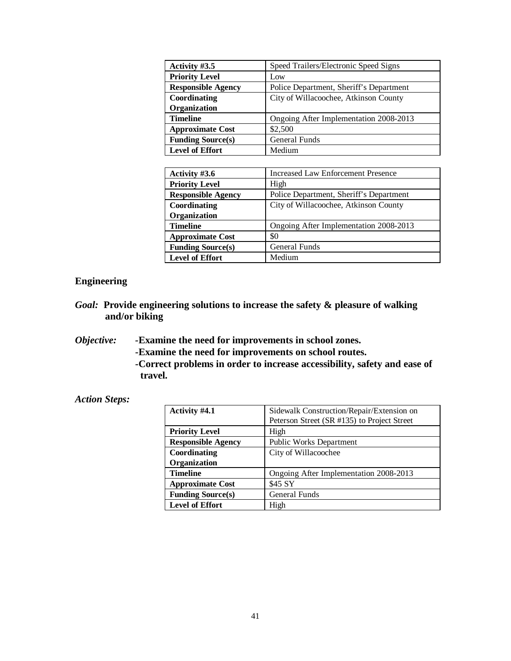| Activity #3.5             | Speed Trailers/Electronic Speed Signs   |
|---------------------------|-----------------------------------------|
| <b>Priority Level</b>     | Low                                     |
| <b>Responsible Agency</b> | Police Department, Sheriff's Department |
| Coordinating              | City of Willacoochee, Atkinson County   |
| Organization              |                                         |
| <b>Timeline</b>           | Ongoing After Implementation 2008-2013  |
| <b>Approximate Cost</b>   | \$2,500                                 |
| <b>Funding Source(s)</b>  | <b>General Funds</b>                    |
| <b>Level of Effort</b>    | Medium                                  |

| Activity #3.6             | <b>Increased Law Enforcement Presence</b> |
|---------------------------|-------------------------------------------|
| <b>Priority Level</b>     | High                                      |
| <b>Responsible Agency</b> | Police Department, Sheriff's Department   |
| Coordinating              | City of Willacoochee, Atkinson County     |
| Organization              |                                           |
| <b>Timeline</b>           | Ongoing After Implementation 2008-2013    |
| <b>Approximate Cost</b>   | \$0                                       |
| <b>Funding Source(s)</b>  | <b>General Funds</b>                      |
| <b>Level of Effort</b>    | Medium                                    |

### **Engineering**

- *Goal:* **Provide engineering solutions to increase the safety & pleasure of walking and/or biking**
- *Objective: -***Examine the need for improvements in school zones.**
	- **-Examine the need for improvements on school routes.**
	- **-Correct problems in order to increase accessibility, safety and ease of travel.**

### *Action Steps:*

| Activity #4.1             | Sidewalk Construction/Repair/Extension on   |
|---------------------------|---------------------------------------------|
|                           | Peterson Street (SR #135) to Project Street |
| <b>Priority Level</b>     | High                                        |
| <b>Responsible Agency</b> | <b>Public Works Department</b>              |
| Coordinating              | City of Willacoochee                        |
| Organization              |                                             |
| <b>Timeline</b>           | Ongoing After Implementation 2008-2013      |
| <b>Approximate Cost</b>   | \$45 SY                                     |
| <b>Funding Source(s)</b>  | <b>General Funds</b>                        |
| <b>Level of Effort</b>    | High                                        |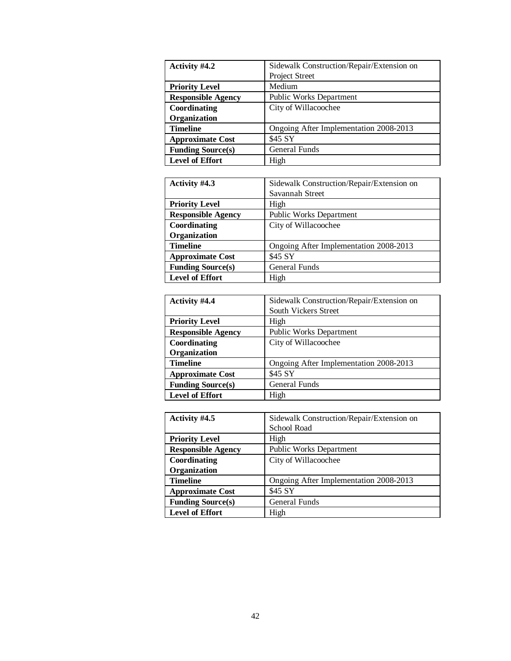| Activity #4.2             | Sidewalk Construction/Repair/Extension on |
|---------------------------|-------------------------------------------|
|                           | Project Street                            |
| <b>Priority Level</b>     | Medium                                    |
| <b>Responsible Agency</b> | <b>Public Works Department</b>            |
| Coordinating              | City of Willacoochee                      |
| Organization              |                                           |
| <b>Timeline</b>           | Ongoing After Implementation 2008-2013    |
| <b>Approximate Cost</b>   | \$45 SY                                   |
| <b>Funding Source(s)</b>  | <b>General Funds</b>                      |
| <b>Level of Effort</b>    | High                                      |

| Activity #4.3             | Sidewalk Construction/Repair/Extension on |
|---------------------------|-------------------------------------------|
|                           | Savannah Street                           |
| <b>Priority Level</b>     | High                                      |
| <b>Responsible Agency</b> | <b>Public Works Department</b>            |
| Coordinating              | City of Willacoochee                      |
| Organization              |                                           |
| <b>Timeline</b>           | Ongoing After Implementation 2008-2013    |
| <b>Approximate Cost</b>   | \$45 SY                                   |
| <b>Funding Source(s)</b>  | <b>General Funds</b>                      |
| <b>Level of Effort</b>    | High                                      |

| Activity #4.4             | Sidewalk Construction/Repair/Extension on |
|---------------------------|-------------------------------------------|
|                           | <b>South Vickers Street</b>               |
| <b>Priority Level</b>     | High                                      |
| <b>Responsible Agency</b> | <b>Public Works Department</b>            |
| Coordinating              | City of Willacoochee                      |
| Organization              |                                           |
| <b>Timeline</b>           | Ongoing After Implementation 2008-2013    |
| <b>Approximate Cost</b>   | \$45 SY                                   |
| <b>Funding Source(s)</b>  | General Funds                             |
| <b>Level of Effort</b>    | High                                      |

| Activity #4.5             | Sidewalk Construction/Repair/Extension on |
|---------------------------|-------------------------------------------|
|                           | School Road                               |
| <b>Priority Level</b>     | High                                      |
| <b>Responsible Agency</b> | <b>Public Works Department</b>            |
| Coordinating              | City of Willacoochee                      |
| Organization              |                                           |
| <b>Timeline</b>           | Ongoing After Implementation 2008-2013    |
| <b>Approximate Cost</b>   | \$45 SY                                   |
| <b>Funding Source(s)</b>  | <b>General Funds</b>                      |
| <b>Level of Effort</b>    | High                                      |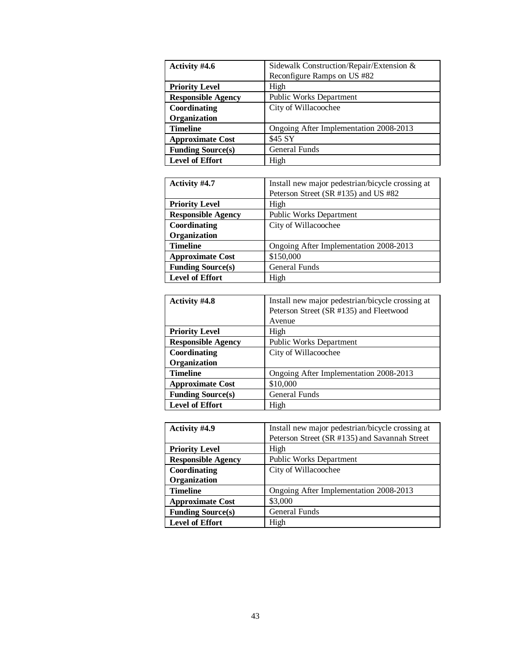| Activity #4.6             | Sidewalk Construction/Repair/Extension & |
|---------------------------|------------------------------------------|
|                           | Reconfigure Ramps on US #82              |
| <b>Priority Level</b>     | High                                     |
| <b>Responsible Agency</b> | Public Works Department                  |
| Coordinating              | City of Willacoochee                     |
| Organization              |                                          |
| <b>Timeline</b>           | Ongoing After Implementation 2008-2013   |
| <b>Approximate Cost</b>   | \$45 SY                                  |
| <b>Funding Source(s)</b>  | General Funds                            |
| <b>Level of Effort</b>    | High                                     |

| Activity #4.7             | Install new major pedestrian/bicycle crossing at |
|---------------------------|--------------------------------------------------|
|                           | Peterson Street (SR #135) and US #82             |
| <b>Priority Level</b>     | High                                             |
| <b>Responsible Agency</b> | Public Works Department                          |
| Coordinating              | City of Willacoochee                             |
| Organization              |                                                  |
| <b>Timeline</b>           | Ongoing After Implementation 2008-2013           |
| <b>Approximate Cost</b>   | \$150,000                                        |
| <b>Funding Source(s)</b>  | General Funds                                    |
| <b>Level of Effort</b>    | High                                             |

| <b>Activity #4.8</b>      | Install new major pedestrian/bicycle crossing at |
|---------------------------|--------------------------------------------------|
|                           | Peterson Street (SR #135) and Fleetwood          |
|                           | Avenue                                           |
| <b>Priority Level</b>     | High                                             |
| <b>Responsible Agency</b> | <b>Public Works Department</b>                   |
| Coordinating              | City of Willacoochee                             |
| Organization              |                                                  |
| <b>Timeline</b>           | Ongoing After Implementation 2008-2013           |
| <b>Approximate Cost</b>   | \$10,000                                         |
| <b>Funding Source(s)</b>  | <b>General Funds</b>                             |
| <b>Level of Effort</b>    | High                                             |

| <b>Activity #4.9</b>      | Install new major pedestrian/bicycle crossing at |
|---------------------------|--------------------------------------------------|
|                           | Peterson Street (SR #135) and Savannah Street    |
| <b>Priority Level</b>     | High                                             |
| <b>Responsible Agency</b> | Public Works Department                          |
| Coordinating              | City of Willacoochee                             |
| Organization              |                                                  |
| <b>Timeline</b>           | Ongoing After Implementation 2008-2013           |
| <b>Approximate Cost</b>   | \$3,000                                          |
| <b>Funding Source(s)</b>  | General Funds                                    |
| <b>Level of Effort</b>    | High                                             |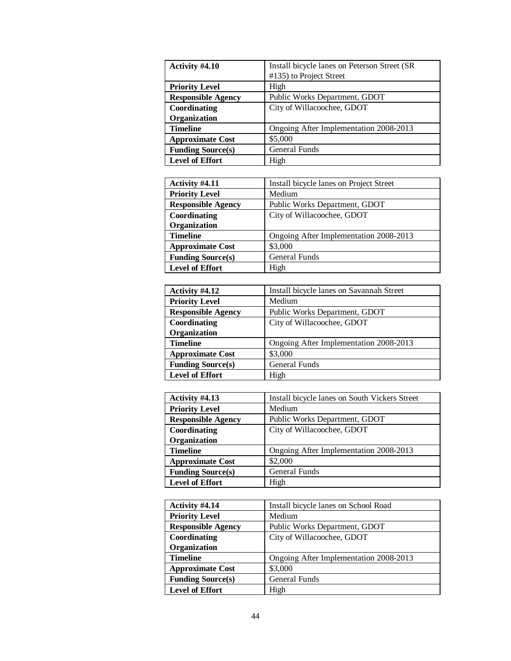| Activity #4.10            | Install bicycle lanes on Peterson Street (SR |
|---------------------------|----------------------------------------------|
|                           | #135) to Project Street                      |
| <b>Priority Level</b>     | High                                         |
| <b>Responsible Agency</b> | Public Works Department, GDOT                |
| Coordinating              | City of Willacoochee, GDOT                   |
| Organization              |                                              |
| <b>Timeline</b>           | Ongoing After Implementation 2008-2013       |
| <b>Approximate Cost</b>   | \$5,000                                      |
| <b>Funding Source(s)</b>  | <b>General Funds</b>                         |
| <b>Level of Effort</b>    | High                                         |

| Activity #4.11            | Install bicycle lanes on Project Street |
|---------------------------|-----------------------------------------|
| <b>Priority Level</b>     | Medium                                  |
| <b>Responsible Agency</b> | Public Works Department, GDOT           |
| Coordinating              | City of Willacoochee, GDOT              |
| Organization              |                                         |
| <b>Timeline</b>           | Ongoing After Implementation 2008-2013  |
| <b>Approximate Cost</b>   | \$3,000                                 |
| <b>Funding Source(s)</b>  | <b>General Funds</b>                    |
| <b>Level of Effort</b>    | High                                    |

| Activity #4.12            | Install bicycle lanes on Savannah Street |
|---------------------------|------------------------------------------|
| <b>Priority Level</b>     | Medium                                   |
| <b>Responsible Agency</b> | Public Works Department, GDOT            |
| Coordinating              | City of Willacoochee, GDOT               |
| Organization              |                                          |
| <b>Timeline</b>           | Ongoing After Implementation 2008-2013   |
| <b>Approximate Cost</b>   | \$3,000                                  |
| <b>Funding Source(s)</b>  | <b>General Funds</b>                     |
| <b>Level of Effort</b>    | High                                     |

| Activity #4.13            | Install bicycle lanes on South Vickers Street |
|---------------------------|-----------------------------------------------|
| <b>Priority Level</b>     | Medium                                        |
| <b>Responsible Agency</b> | Public Works Department, GDOT                 |
| Coordinating              | City of Willacoochee, GDOT                    |
| Organization              |                                               |
| <b>Timeline</b>           | Ongoing After Implementation 2008-2013        |
| <b>Approximate Cost</b>   | \$2,000                                       |
| <b>Funding Source(s)</b>  | <b>General Funds</b>                          |
| <b>Level of Effort</b>    | High                                          |

| Activity #4.14            | Install bicycle lanes on School Road   |
|---------------------------|----------------------------------------|
| <b>Priority Level</b>     | Medium                                 |
| <b>Responsible Agency</b> | Public Works Department, GDOT          |
| Coordinating              | City of Willacoochee, GDOT             |
| Organization              |                                        |
| <b>Timeline</b>           | Ongoing After Implementation 2008-2013 |
| <b>Approximate Cost</b>   | \$3,000                                |
| <b>Funding Source(s)</b>  | <b>General Funds</b>                   |
| <b>Level of Effort</b>    | High                                   |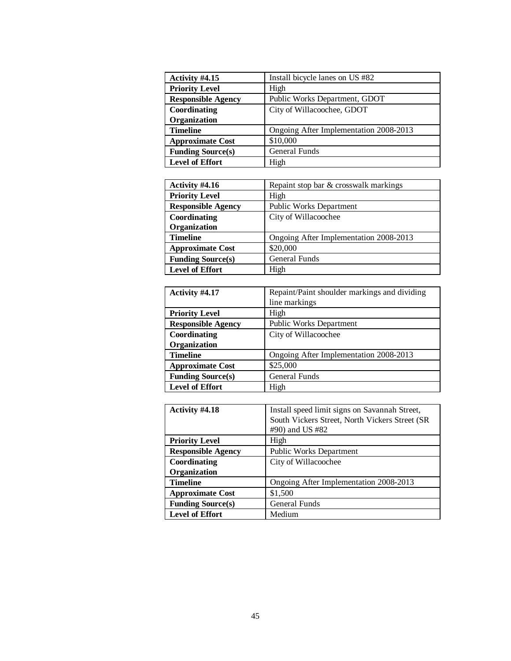| Activity #4.15            | Install bicycle lanes on US #82        |
|---------------------------|----------------------------------------|
| <b>Priority Level</b>     | High                                   |
| <b>Responsible Agency</b> | Public Works Department, GDOT          |
| Coordinating              | City of Willacoochee, GDOT             |
| Organization              |                                        |
| <b>Timeline</b>           | Ongoing After Implementation 2008-2013 |
| <b>Approximate Cost</b>   | \$10,000                               |
| <b>Funding Source(s)</b>  | <b>General Funds</b>                   |
| <b>Level of Effort</b>    | High                                   |

| Activity #4.16            | Repaint stop bar & crosswalk markings  |
|---------------------------|----------------------------------------|
| <b>Priority Level</b>     | High                                   |
| <b>Responsible Agency</b> | <b>Public Works Department</b>         |
| Coordinating              | City of Willacoochee                   |
| Organization              |                                        |
| <b>Timeline</b>           | Ongoing After Implementation 2008-2013 |
| <b>Approximate Cost</b>   | \$20,000                               |
| <b>Funding Source(s)</b>  | General Funds                          |
| <b>Level of Effort</b>    | High                                   |

| Activity #4.17            | Repaint/Paint shoulder markings and dividing |
|---------------------------|----------------------------------------------|
|                           | line markings                                |
| <b>Priority Level</b>     | High                                         |
| <b>Responsible Agency</b> | <b>Public Works Department</b>               |
| Coordinating              | City of Willacoochee                         |
| Organization              |                                              |
| <b>Timeline</b>           | Ongoing After Implementation 2008-2013       |
| <b>Approximate Cost</b>   | \$25,000                                     |
| <b>Funding Source(s)</b>  | General Funds                                |
| Level of Effort           | High                                         |

| Activity #4.18            | Install speed limit signs on Savannah Street,<br>South Vickers Street, North Vickers Street (SR<br>#90) and US #82 |
|---------------------------|--------------------------------------------------------------------------------------------------------------------|
| <b>Priority Level</b>     | High                                                                                                               |
| <b>Responsible Agency</b> | Public Works Department                                                                                            |
| Coordinating              | City of Willacoochee                                                                                               |
| Organization              |                                                                                                                    |
| <b>Timeline</b>           | Ongoing After Implementation 2008-2013                                                                             |
| <b>Approximate Cost</b>   | \$1,500                                                                                                            |
| <b>Funding Source(s)</b>  | <b>General Funds</b>                                                                                               |
| <b>Level of Effort</b>    | Medium                                                                                                             |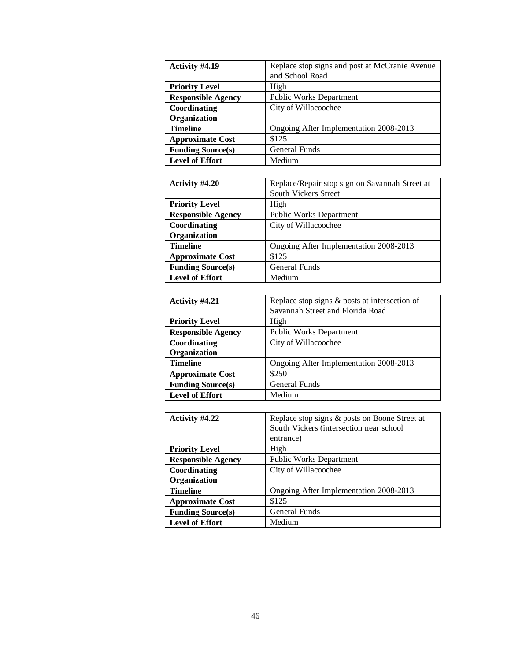| Activity #4.19            | Replace stop signs and post at McCranie Avenue |
|---------------------------|------------------------------------------------|
|                           | and School Road                                |
| <b>Priority Level</b>     | High                                           |
| <b>Responsible Agency</b> | Public Works Department                        |
| Coordinating              | City of Willacoochee                           |
| Organization              |                                                |
| <b>Timeline</b>           | Ongoing After Implementation 2008-2013         |
| <b>Approximate Cost</b>   | \$125                                          |
| <b>Funding Source(s)</b>  | <b>General Funds</b>                           |
| <b>Level of Effort</b>    | Medium                                         |

| Activity #4.20            | Replace/Repair stop sign on Savannah Street at |
|---------------------------|------------------------------------------------|
|                           | South Vickers Street                           |
| <b>Priority Level</b>     | High                                           |
| <b>Responsible Agency</b> | <b>Public Works Department</b>                 |
| Coordinating              | City of Willacoochee                           |
| Organization              |                                                |
| <b>Timeline</b>           | Ongoing After Implementation 2008-2013         |
| <b>Approximate Cost</b>   | \$125                                          |
| <b>Funding Source(s)</b>  | <b>General Funds</b>                           |
| <b>Level of Effort</b>    | Medium                                         |

| Activity #4.21            | Replace stop signs $&$ posts at intersection of |
|---------------------------|-------------------------------------------------|
|                           | Savannah Street and Florida Road                |
| <b>Priority Level</b>     | High                                            |
| <b>Responsible Agency</b> | <b>Public Works Department</b>                  |
| Coordinating              | City of Willacoochee                            |
| Organization              |                                                 |
| <b>Timeline</b>           | Ongoing After Implementation 2008-2013          |
| <b>Approximate Cost</b>   | \$250                                           |
| <b>Funding Source(s)</b>  | <b>General Funds</b>                            |
| <b>Level of Effort</b>    | Medium                                          |

| Activity #4.22            | Replace stop signs & posts on Boone Street at |
|---------------------------|-----------------------------------------------|
|                           | South Vickers (intersection near school       |
|                           | entrance)                                     |
| <b>Priority Level</b>     | High                                          |
| <b>Responsible Agency</b> | <b>Public Works Department</b>                |
| Coordinating              | City of Willacoochee                          |
| Organization              |                                               |
| <b>Timeline</b>           | Ongoing After Implementation 2008-2013        |
| <b>Approximate Cost</b>   | \$125                                         |
| <b>Funding Source(s)</b>  | General Funds                                 |
| <b>Level of Effort</b>    | Medium                                        |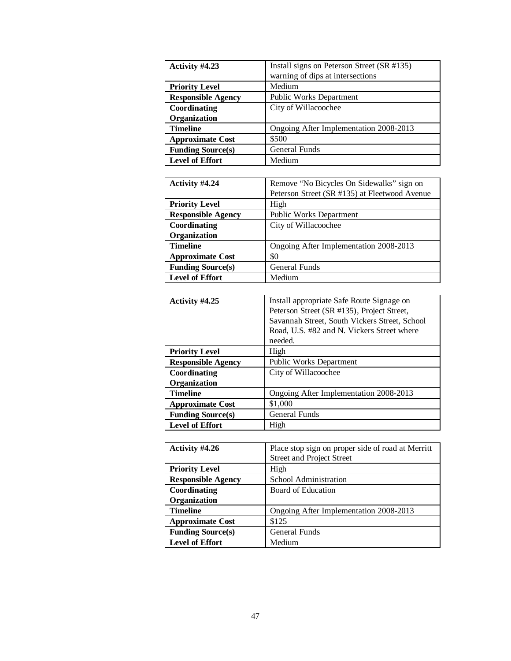| Activity #4.23            | Install signs on Peterson Street (SR #135) |
|---------------------------|--------------------------------------------|
|                           | warning of dips at intersections           |
| <b>Priority Level</b>     | Medium                                     |
| <b>Responsible Agency</b> | <b>Public Works Department</b>             |
| Coordinating              | City of Willacoochee                       |
| Organization              |                                            |
| <b>Timeline</b>           | Ongoing After Implementation 2008-2013     |
| <b>Approximate Cost</b>   | \$500                                      |
| <b>Funding Source(s)</b>  | General Funds                              |
| <b>Level of Effort</b>    | Medium                                     |

| Activity #4.24            | Remove "No Bicycles On Sidewalks" sign on     |
|---------------------------|-----------------------------------------------|
|                           | Peterson Street (SR #135) at Fleetwood Avenue |
| <b>Priority Level</b>     | High                                          |
| <b>Responsible Agency</b> | <b>Public Works Department</b>                |
| Coordinating              | City of Willacoochee                          |
| Organization              |                                               |
| <b>Timeline</b>           | Ongoing After Implementation 2008-2013        |
| <b>Approximate Cost</b>   | \$0                                           |
| <b>Funding Source(s)</b>  | General Funds                                 |
| <b>Level of Effort</b>    | Medium                                        |

| Activity #4.25            | Install appropriate Safe Route Signage on<br>Peterson Street (SR #135), Project Street,<br>Savannah Street, South Vickers Street, School<br>Road, U.S. #82 and N. Vickers Street where<br>needed. |
|---------------------------|---------------------------------------------------------------------------------------------------------------------------------------------------------------------------------------------------|
| <b>Priority Level</b>     | High                                                                                                                                                                                              |
| <b>Responsible Agency</b> | Public Works Department                                                                                                                                                                           |
| Coordinating              | City of Willacoochee                                                                                                                                                                              |
| Organization              |                                                                                                                                                                                                   |
| <b>Timeline</b>           | Ongoing After Implementation 2008-2013                                                                                                                                                            |
| <b>Approximate Cost</b>   | \$1,000                                                                                                                                                                                           |
| <b>Funding Source(s)</b>  | General Funds                                                                                                                                                                                     |
| <b>Level of Effort</b>    | High                                                                                                                                                                                              |

| Activity #4.26            | Place stop sign on proper side of road at Merritt |
|---------------------------|---------------------------------------------------|
|                           | <b>Street and Project Street</b>                  |
| <b>Priority Level</b>     | High                                              |
| <b>Responsible Agency</b> | School Administration                             |
| Coordinating              | Board of Education                                |
| Organization              |                                                   |
| <b>Timeline</b>           | Ongoing After Implementation 2008-2013            |
| <b>Approximate Cost</b>   | \$125                                             |
| <b>Funding Source(s)</b>  | <b>General Funds</b>                              |
| <b>Level of Effort</b>    | Medium                                            |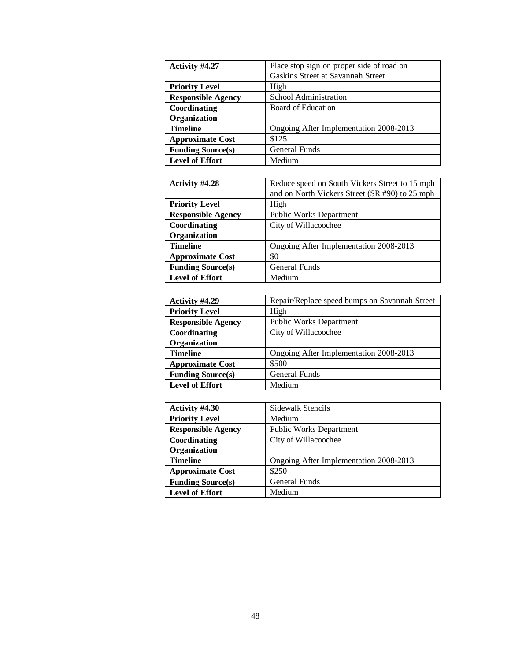| Activity #4.27            | Place stop sign on proper side of road on |
|---------------------------|-------------------------------------------|
|                           | Gaskins Street at Savannah Street         |
| <b>Priority Level</b>     | High                                      |
| <b>Responsible Agency</b> | School Administration                     |
| Coordinating              | Board of Education                        |
| Organization              |                                           |
| <b>Timeline</b>           | Ongoing After Implementation 2008-2013    |
| <b>Approximate Cost</b>   | \$125                                     |
| <b>Funding Source(s)</b>  | <b>General Funds</b>                      |
| <b>Level of Effort</b>    | Medium                                    |

| Activity #4.28            | Reduce speed on South Vickers Street to 15 mph |
|---------------------------|------------------------------------------------|
|                           | and on North Vickers Street (SR #90) to 25 mph |
| <b>Priority Level</b>     | High                                           |
| <b>Responsible Agency</b> | <b>Public Works Department</b>                 |
| Coordinating              | City of Willacoochee                           |
| Organization              |                                                |
| <b>Timeline</b>           | Ongoing After Implementation 2008-2013         |
| <b>Approximate Cost</b>   | \$0                                            |
| <b>Funding Source(s)</b>  | <b>General Funds</b>                           |
| <b>Level of Effort</b>    | Medium                                         |

| Activity #4.29            | Repair/Replace speed bumps on Savannah Street |
|---------------------------|-----------------------------------------------|
| <b>Priority Level</b>     | High                                          |
| <b>Responsible Agency</b> | <b>Public Works Department</b>                |
| Coordinating              | City of Willacoochee                          |
| Organization              |                                               |
| <b>Timeline</b>           | Ongoing After Implementation 2008-2013        |
| <b>Approximate Cost</b>   | \$500                                         |
| <b>Funding Source(s)</b>  | <b>General Funds</b>                          |
| <b>Level of Effort</b>    | Medium                                        |

| Activity #4.30            | Sidewalk Stencils                      |
|---------------------------|----------------------------------------|
| <b>Priority Level</b>     | Medium                                 |
| <b>Responsible Agency</b> | <b>Public Works Department</b>         |
| Coordinating              | City of Willacoochee                   |
| Organization              |                                        |
| <b>Timeline</b>           | Ongoing After Implementation 2008-2013 |
| <b>Approximate Cost</b>   | \$250                                  |
| <b>Funding Source(s)</b>  | <b>General Funds</b>                   |
| <b>Level of Effort</b>    | Medium                                 |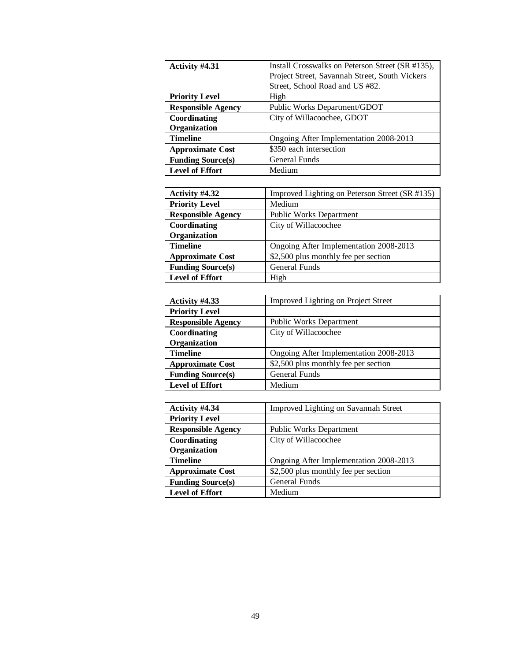| Activity #4.31            | Install Crosswalks on Peterson Street (SR #135), |
|---------------------------|--------------------------------------------------|
|                           | Project Street, Savannah Street, South Vickers   |
|                           | Street, School Road and US #82.                  |
| <b>Priority Level</b>     | High                                             |
| <b>Responsible Agency</b> | Public Works Department/GDOT                     |
| Coordinating              | City of Willacoochee, GDOT                       |
| Organization              |                                                  |
| <b>Timeline</b>           | Ongoing After Implementation 2008-2013           |
| <b>Approximate Cost</b>   | \$350 each intersection                          |
| <b>Funding Source(s)</b>  | <b>General Funds</b>                             |
| <b>Level of Effort</b>    | Medium                                           |

| Activity #4.32            | Improved Lighting on Peterson Street (SR #135) |
|---------------------------|------------------------------------------------|
| <b>Priority Level</b>     | Medium                                         |
| <b>Responsible Agency</b> | <b>Public Works Department</b>                 |
| Coordinating              | City of Willacoochee                           |
| Organization              |                                                |
| <b>Timeline</b>           | Ongoing After Implementation 2008-2013         |
| <b>Approximate Cost</b>   | \$2,500 plus monthly fee per section           |
| <b>Funding Source(s)</b>  | <b>General Funds</b>                           |
| <b>Level of Effort</b>    | High                                           |

| Activity #4.33            | <b>Improved Lighting on Project Street</b> |
|---------------------------|--------------------------------------------|
| <b>Priority Level</b>     |                                            |
| <b>Responsible Agency</b> | <b>Public Works Department</b>             |
| Coordinating              | City of Willacoochee                       |
| Organization              |                                            |
| <b>Timeline</b>           | Ongoing After Implementation 2008-2013     |
| <b>Approximate Cost</b>   | \$2,500 plus monthly fee per section       |
| <b>Funding Source(s)</b>  | General Funds                              |
| <b>Level of Effort</b>    | Medium                                     |

| Activity #4.34            | Improved Lighting on Savannah Street   |
|---------------------------|----------------------------------------|
| <b>Priority Level</b>     |                                        |
| <b>Responsible Agency</b> | Public Works Department                |
| Coordinating              | City of Willacoochee                   |
| Organization              |                                        |
| <b>Timeline</b>           | Ongoing After Implementation 2008-2013 |
| <b>Approximate Cost</b>   | \$2,500 plus monthly fee per section   |
| <b>Funding Source(s)</b>  | <b>General Funds</b>                   |
| <b>Level of Effort</b>    | Medium                                 |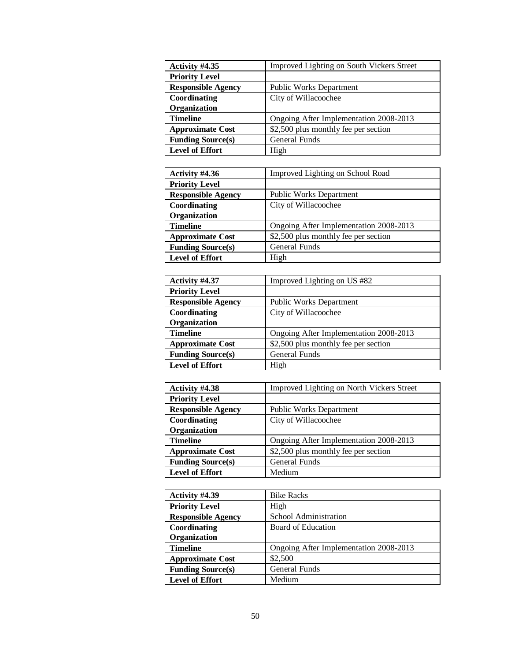| Activity #4.35            | Improved Lighting on South Vickers Street |
|---------------------------|-------------------------------------------|
| <b>Priority Level</b>     |                                           |
| <b>Responsible Agency</b> | <b>Public Works Department</b>            |
| Coordinating              | City of Willacoochee                      |
| Organization              |                                           |
| <b>Timeline</b>           | Ongoing After Implementation 2008-2013    |
| <b>Approximate Cost</b>   | \$2,500 plus monthly fee per section      |
| <b>Funding Source(s)</b>  | <b>General Funds</b>                      |
| <b>Level of Effort</b>    | High                                      |

| Activity #4.36            | Improved Lighting on School Road       |
|---------------------------|----------------------------------------|
| <b>Priority Level</b>     |                                        |
| <b>Responsible Agency</b> | <b>Public Works Department</b>         |
| Coordinating              | City of Willacoochee                   |
| Organization              |                                        |
| <b>Timeline</b>           | Ongoing After Implementation 2008-2013 |
| <b>Approximate Cost</b>   | \$2,500 plus monthly fee per section   |
| <b>Funding Source(s)</b>  | <b>General Funds</b>                   |
| <b>Level of Effort</b>    | High                                   |

| Activity #4.37            | Improved Lighting on US #82            |
|---------------------------|----------------------------------------|
| <b>Priority Level</b>     |                                        |
| <b>Responsible Agency</b> | <b>Public Works Department</b>         |
| Coordinating              | City of Willacoochee                   |
| Organization              |                                        |
| <b>Timeline</b>           | Ongoing After Implementation 2008-2013 |
| <b>Approximate Cost</b>   | \$2,500 plus monthly fee per section   |
| <b>Funding Source(s)</b>  | <b>General Funds</b>                   |
| <b>Level of Effort</b>    | High                                   |

| Activity #4.38            | Improved Lighting on North Vickers Street |
|---------------------------|-------------------------------------------|
| <b>Priority Level</b>     |                                           |
| <b>Responsible Agency</b> | Public Works Department                   |
| Coordinating              | City of Willacoochee                      |
| Organization              |                                           |
| <b>Timeline</b>           | Ongoing After Implementation 2008-2013    |
| <b>Approximate Cost</b>   | \$2,500 plus monthly fee per section      |
| <b>Funding Source(s)</b>  | <b>General Funds</b>                      |
| <b>Level of Effort</b>    | Medium                                    |

| Activity #4.39            | <b>Bike Racks</b>                      |
|---------------------------|----------------------------------------|
| <b>Priority Level</b>     | High                                   |
| <b>Responsible Agency</b> | School Administration                  |
| Coordinating              | Board of Education                     |
| Organization              |                                        |
| <b>Timeline</b>           | Ongoing After Implementation 2008-2013 |
| <b>Approximate Cost</b>   | \$2,500                                |
| <b>Funding Source(s)</b>  | <b>General Funds</b>                   |
| <b>Level of Effort</b>    | Medium                                 |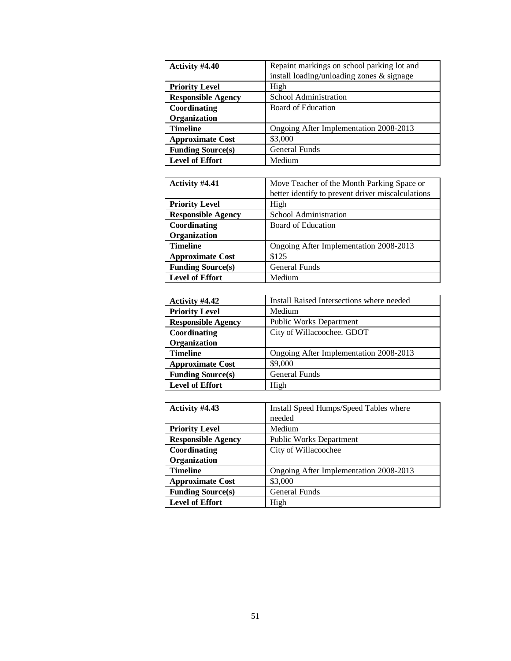| Activity #4.40            | Repaint markings on school parking lot and<br>install loading/unloading zones & signage |
|---------------------------|-----------------------------------------------------------------------------------------|
|                           |                                                                                         |
| <b>Priority Level</b>     | High                                                                                    |
| <b>Responsible Agency</b> | School Administration                                                                   |
| Coordinating              | Board of Education                                                                      |
| Organization              |                                                                                         |
| <b>Timeline</b>           | Ongoing After Implementation 2008-2013                                                  |
| <b>Approximate Cost</b>   | \$3,000                                                                                 |
| <b>Funding Source(s)</b>  | <b>General Funds</b>                                                                    |
| <b>Level of Effort</b>    | Medium                                                                                  |

| Activity #4.41            | Move Teacher of the Month Parking Space or        |
|---------------------------|---------------------------------------------------|
|                           | better identify to prevent driver miscalculations |
| <b>Priority Level</b>     | High                                              |
| <b>Responsible Agency</b> | School Administration                             |
| Coordinating              | Board of Education                                |
| Organization              |                                                   |
| <b>Timeline</b>           | Ongoing After Implementation 2008-2013            |
| <b>Approximate Cost</b>   | \$125                                             |
| <b>Funding Source(s)</b>  | General Funds                                     |
| <b>Level of Effort</b>    | Medium                                            |

| Activity #4.42            | Install Raised Intersections where needed |
|---------------------------|-------------------------------------------|
| <b>Priority Level</b>     | Medium                                    |
| <b>Responsible Agency</b> | <b>Public Works Department</b>            |
| Coordinating              | City of Willacoochee. GDOT                |
| Organization              |                                           |
| <b>Timeline</b>           | Ongoing After Implementation 2008-2013    |
| <b>Approximate Cost</b>   | \$9,000                                   |
| <b>Funding Source(s)</b>  | <b>General Funds</b>                      |
| <b>Level of Effort</b>    | High                                      |

| Activity #4.43            | Install Speed Humps/Speed Tables where |
|---------------------------|----------------------------------------|
|                           | needed                                 |
| <b>Priority Level</b>     | Medium                                 |
| <b>Responsible Agency</b> | <b>Public Works Department</b>         |
| Coordinating              | City of Willacoochee                   |
| Organization              |                                        |
| <b>Timeline</b>           | Ongoing After Implementation 2008-2013 |
| <b>Approximate Cost</b>   | \$3,000                                |
| <b>Funding Source(s)</b>  | <b>General Funds</b>                   |
| <b>Level of Effort</b>    | High                                   |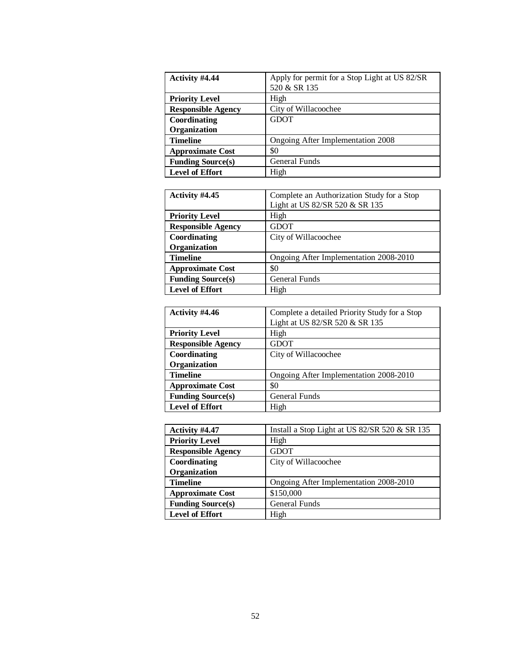| Activity #4.44            | Apply for permit for a Stop Light at US 82/SR<br>520 & SR 135 |
|---------------------------|---------------------------------------------------------------|
| <b>Priority Level</b>     | High                                                          |
| <b>Responsible Agency</b> | City of Willacoochee                                          |
| Coordinating              | <b>GDOT</b>                                                   |
| Organization              |                                                               |
| <b>Timeline</b>           | Ongoing After Implementation 2008                             |
| <b>Approximate Cost</b>   | \$0                                                           |
| <b>Funding Source(s)</b>  | <b>General Funds</b>                                          |
| <b>Level of Effort</b>    | High                                                          |

| Activity #4.45            | Complete an Authorization Study for a Stop |
|---------------------------|--------------------------------------------|
|                           | Light at US 82/SR 520 & SR 135             |
| <b>Priority Level</b>     | High                                       |
| <b>Responsible Agency</b> | <b>GDOT</b>                                |
| Coordinating              | City of Willacoochee                       |
| Organization              |                                            |
| <b>Timeline</b>           | Ongoing After Implementation 2008-2010     |
| <b>Approximate Cost</b>   | \$0                                        |
| <b>Funding Source(s)</b>  | General Funds                              |
| <b>Level of Effort</b>    | High                                       |

| Activity #4.46            | Complete a detailed Priority Study for a Stop |
|---------------------------|-----------------------------------------------|
|                           | Light at US 82/SR 520 & SR 135                |
| <b>Priority Level</b>     | High                                          |
| <b>Responsible Agency</b> | GDOT                                          |
| Coordinating              | City of Willacoochee                          |
| Organization              |                                               |
| <b>Timeline</b>           | Ongoing After Implementation 2008-2010        |
| <b>Approximate Cost</b>   | \$0                                           |
| <b>Funding Source(s)</b>  | General Funds                                 |
| <b>Level of Effort</b>    | High                                          |

| Activity #4.47            | Install a Stop Light at US 82/SR 520 & SR 135 |
|---------------------------|-----------------------------------------------|
| <b>Priority Level</b>     | High                                          |
| <b>Responsible Agency</b> | <b>GDOT</b>                                   |
| Coordinating              | City of Willacoochee                          |
| Organization              |                                               |
| <b>Timeline</b>           | Ongoing After Implementation 2008-2010        |
| <b>Approximate Cost</b>   | \$150,000                                     |
| <b>Funding Source(s)</b>  | <b>General Funds</b>                          |
| <b>Level of Effort</b>    | High                                          |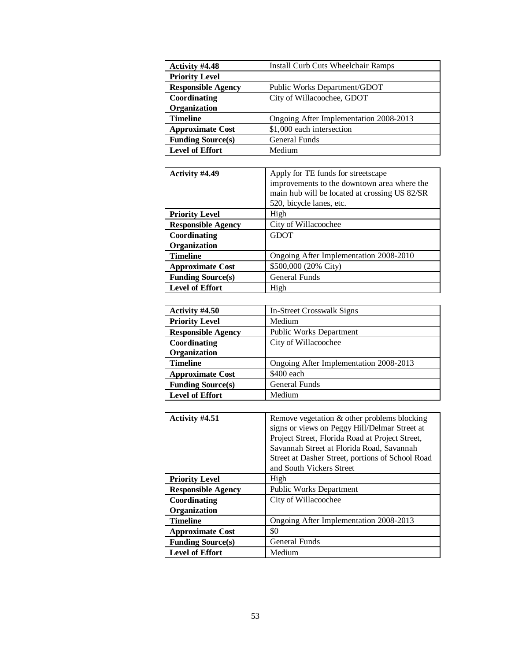| Activity #4.48            | <b>Install Curb Cuts Wheelchair Ramps</b> |
|---------------------------|-------------------------------------------|
| <b>Priority Level</b>     |                                           |
| <b>Responsible Agency</b> | Public Works Department/GDOT              |
| Coordinating              | City of Willacoochee, GDOT                |
| Organization              |                                           |
| <b>Timeline</b>           | Ongoing After Implementation 2008-2013    |
| <b>Approximate Cost</b>   | \$1,000 each intersection                 |
| <b>Funding Source(s)</b>  | General Funds                             |
| <b>Level of Effort</b>    | Medium                                    |

| Activity #4.49            | Apply for TE funds for streetscape            |
|---------------------------|-----------------------------------------------|
|                           | improvements to the downtown area where the   |
|                           | main hub will be located at crossing US 82/SR |
|                           | 520, bicycle lanes, etc.                      |
| <b>Priority Level</b>     | High                                          |
| <b>Responsible Agency</b> | City of Willacoochee                          |
| Coordinating              | <b>GDOT</b>                                   |
| Organization              |                                               |
| <b>Timeline</b>           | Ongoing After Implementation 2008-2010        |
| <b>Approximate Cost</b>   | \$500,000 (20% City)                          |
| <b>Funding Source(s)</b>  | <b>General Funds</b>                          |
| <b>Level of Effort</b>    | High                                          |

| Activity #4.50            | In-Street Crosswalk Signs              |
|---------------------------|----------------------------------------|
| <b>Priority Level</b>     | Medium                                 |
| <b>Responsible Agency</b> | <b>Public Works Department</b>         |
| Coordinating              | City of Willacoochee                   |
| Organization              |                                        |
| <b>Timeline</b>           | Ongoing After Implementation 2008-2013 |
| <b>Approximate Cost</b>   | \$400 each                             |
| <b>Funding Source(s)</b>  | <b>General Funds</b>                   |
| <b>Level of Effort</b>    | Medium                                 |

| Activity #4.51            | Remove vegetation & other problems blocking<br>signs or views on Peggy Hill/Delmar Street at<br>Project Street, Florida Road at Project Street,<br>Savannah Street at Florida Road, Savannah<br>Street at Dasher Street, portions of School Road<br>and South Vickers Street |
|---------------------------|------------------------------------------------------------------------------------------------------------------------------------------------------------------------------------------------------------------------------------------------------------------------------|
|                           | High                                                                                                                                                                                                                                                                         |
| <b>Priority Level</b>     |                                                                                                                                                                                                                                                                              |
| <b>Responsible Agency</b> | <b>Public Works Department</b>                                                                                                                                                                                                                                               |
| Coordinating              | City of Willacoochee                                                                                                                                                                                                                                                         |
| Organization              |                                                                                                                                                                                                                                                                              |
| <b>Timeline</b>           | Ongoing After Implementation 2008-2013                                                                                                                                                                                                                                       |
| <b>Approximate Cost</b>   | \$0                                                                                                                                                                                                                                                                          |
| <b>Funding Source(s)</b>  | <b>General Funds</b>                                                                                                                                                                                                                                                         |
| <b>Level of Effort</b>    | Medium                                                                                                                                                                                                                                                                       |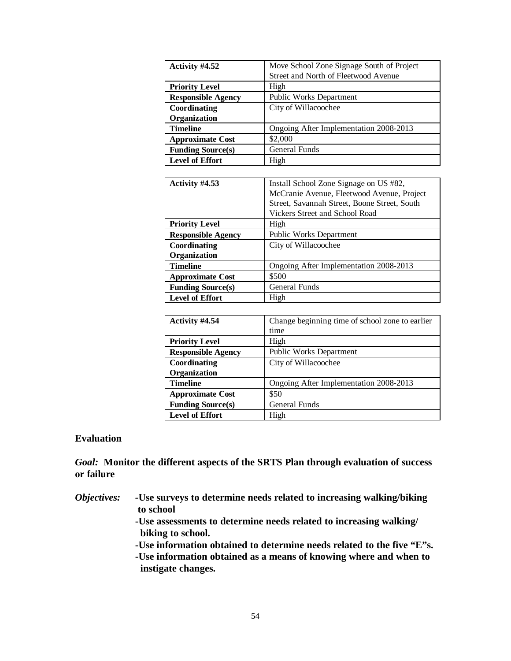| Activity #4.52            | Move School Zone Signage South of Project |
|---------------------------|-------------------------------------------|
|                           | Street and North of Fleetwood Avenue      |
| <b>Priority Level</b>     | High                                      |
| <b>Responsible Agency</b> | <b>Public Works Department</b>            |
| Coordinating              | City of Willacoochee                      |
| Organization              |                                           |
| <b>Timeline</b>           | Ongoing After Implementation 2008-2013    |
| <b>Approximate Cost</b>   | \$2,000                                   |
| <b>Funding Source(s)</b>  | General Funds                             |
| <b>Level of Effort</b>    | High                                      |

| Activity #4.53            | Install School Zone Signage on US #82,       |
|---------------------------|----------------------------------------------|
|                           | McCranie Avenue, Fleetwood Avenue, Project   |
|                           | Street, Savannah Street, Boone Street, South |
|                           | Vickers Street and School Road               |
| <b>Priority Level</b>     | High                                         |
| <b>Responsible Agency</b> | <b>Public Works Department</b>               |
| Coordinating              | City of Willacoochee                         |
| Organization              |                                              |
| <b>Timeline</b>           | Ongoing After Implementation 2008-2013       |
| <b>Approximate Cost</b>   | \$500                                        |
| <b>Funding Source(s)</b>  | <b>General Funds</b>                         |
| <b>Level of Effort</b>    | High                                         |

| Activity #4.54            | Change beginning time of school zone to earlier |
|---------------------------|-------------------------------------------------|
|                           | time                                            |
| <b>Priority Level</b>     | High                                            |
| <b>Responsible Agency</b> | <b>Public Works Department</b>                  |
| Coordinating              | City of Willacoochee                            |
| Organization              |                                                 |
| <b>Timeline</b>           | Ongoing After Implementation 2008-2013          |
| <b>Approximate Cost</b>   | \$50                                            |
| <b>Funding Source(s)</b>  | General Funds                                   |
| <b>Level of Effort</b>    | High                                            |

### **Evaluation**

*Goal:* **Monitor the different aspects of the SRTS Plan through evaluation of success or failure**

| <i><b>Objectives:</b></i> | -Use surveys to determine needs related to increasing walking/biking   |
|---------------------------|------------------------------------------------------------------------|
|                           | to school                                                              |
|                           | -Use assessments to determine needs related to increasing walking/     |
|                           | biking to school.                                                      |
|                           | -Use information obtained to determine needs related to the five "E"s. |
|                           | -Use information obtained as a means of knowing where and when to      |
|                           | instigate changes.                                                     |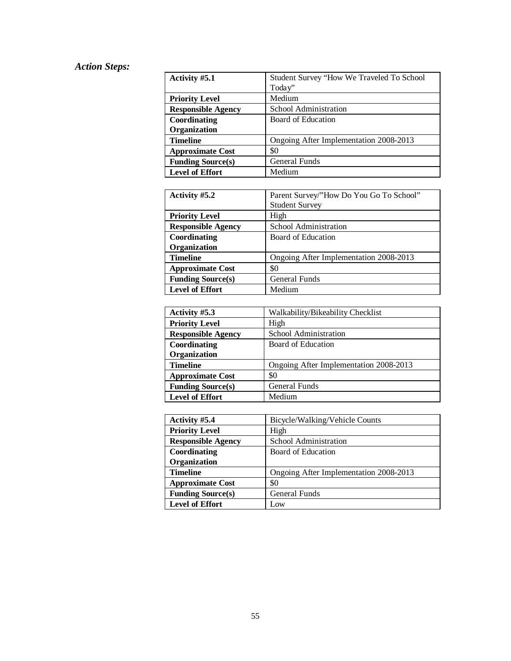## *Action Steps:*

| Activity #5.1             | Student Survey "How We Traveled To School |
|---------------------------|-------------------------------------------|
|                           | Today"                                    |
| <b>Priority Level</b>     | Medium                                    |
| <b>Responsible Agency</b> | School Administration                     |
| Coordinating              | Board of Education                        |
| Organization              |                                           |
| <b>Timeline</b>           | Ongoing After Implementation 2008-2013    |
| <b>Approximate Cost</b>   | \$0                                       |
| <b>Funding Source(s)</b>  | <b>General Funds</b>                      |
| <b>Level of Effort</b>    | Medium                                    |

| Activity #5.2             | Parent Survey/"How Do You Go To School" |
|---------------------------|-----------------------------------------|
|                           | <b>Student Survey</b>                   |
| <b>Priority Level</b>     | High                                    |
| <b>Responsible Agency</b> | School Administration                   |
| Coordinating              | Board of Education                      |
| Organization              |                                         |
| <b>Timeline</b>           | Ongoing After Implementation 2008-2013  |
| <b>Approximate Cost</b>   | \$0                                     |
| <b>Funding Source(s)</b>  | General Funds                           |
| <b>Level of Effort</b>    | Medium                                  |

| Activity #5.3             | Walkability/Bikeability Checklist      |
|---------------------------|----------------------------------------|
| <b>Priority Level</b>     | High                                   |
| <b>Responsible Agency</b> | School Administration                  |
| Coordinating              | Board of Education                     |
| Organization              |                                        |
| <b>Timeline</b>           | Ongoing After Implementation 2008-2013 |
| <b>Approximate Cost</b>   | \$0                                    |
| <b>Funding Source(s)</b>  | <b>General Funds</b>                   |
| <b>Level of Effort</b>    | Medium                                 |

| Activity #5.4             | Bicycle/Walking/Vehicle Counts         |
|---------------------------|----------------------------------------|
| <b>Priority Level</b>     | High                                   |
| <b>Responsible Agency</b> | School Administration                  |
| Coordinating              | Board of Education                     |
| Organization              |                                        |
| <b>Timeline</b>           | Ongoing After Implementation 2008-2013 |
| <b>Approximate Cost</b>   | \$0                                    |
| <b>Funding Source(s)</b>  | <b>General Funds</b>                   |
| <b>Level of Effort</b>    | Low                                    |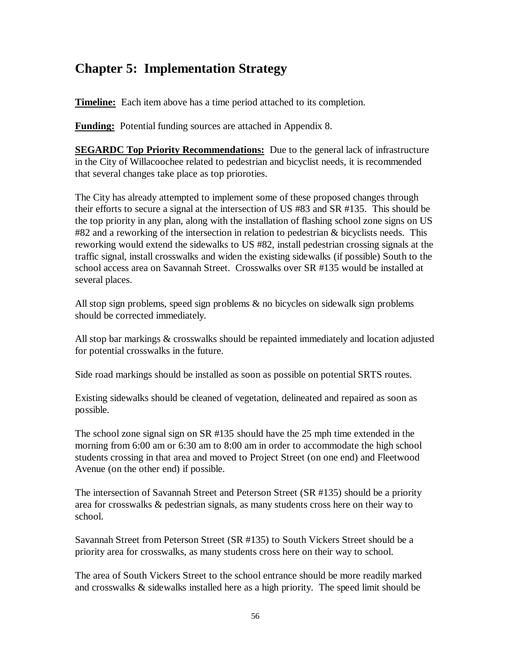## **Chapter 5: Implementation Strategy**

**Timeline:** Each item above has a time period attached to its completion.

**Funding:** Potential funding sources are attached in Appendix 8.

**SEGARDC Top Priority Recommendations:** Due to the general lack of infrastructure in the City of Willacoochee related to pedestrian and bicyclist needs, it is recommended that several changes take place as top prioroties.

The City has already attempted to implement some of these proposed changes through their efforts to secure a signal at the intersection of US #83 and SR #135. This should be the top priority in any plan, along with the installation of flashing school zone signs on US #82 and a reworking of the intersection in relation to pedestrian & bicyclists needs. This reworking would extend the sidewalks to US #82, install pedestrian crossing signals at the traffic signal, install crosswalks and widen the existing sidewalks (if possible) South to the school access area on Savannah Street. Crosswalks over SR #135 would be installed at several places.

All stop sign problems, speed sign problems & no bicycles on sidewalk sign problems should be corrected immediately.

All stop bar markings & crosswalks should be repainted immediately and location adjusted for potential crosswalks in the future.

Side road markings should be installed as soon as possible on potential SRTS routes.

Existing sidewalks should be cleaned of vegetation, delineated and repaired as soon as possible.

The school zone signal sign on SR #135 should have the 25 mph time extended in the morning from 6:00 am or 6:30 am to 8:00 am in order to accommodate the high school students crossing in that area and moved to Project Street (on one end) and Fleetwood Avenue (on the other end) if possible.

The intersection of Savannah Street and Peterson Street (SR #135) should be a priority area for crosswalks & pedestrian signals, as many students cross here on their way to school.

Savannah Street from Peterson Street (SR #135) to South Vickers Street should be a priority area for crosswalks, as many students cross here on their way to school.

The area of South Vickers Street to the school entrance should be more readily marked and crosswalks & sidewalks installed here as a high priority. The speed limit should be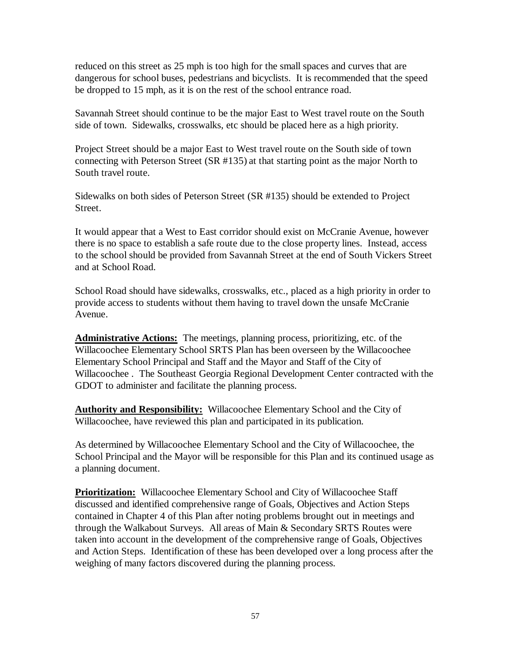reduced on this street as 25 mph is too high for the small spaces and curves that are dangerous for school buses, pedestrians and bicyclists. It is recommended that the speed be dropped to 15 mph, as it is on the rest of the school entrance road.

Savannah Street should continue to be the major East to West travel route on the South side of town. Sidewalks, crosswalks, etc should be placed here as a high priority.

Project Street should be a major East to West travel route on the South side of town connecting with Peterson Street (SR #135) at that starting point as the major North to South travel route.

Sidewalks on both sides of Peterson Street (SR #135) should be extended to Project Street.

It would appear that a West to East corridor should exist on McCranie Avenue, however there is no space to establish a safe route due to the close property lines. Instead, access to the school should be provided from Savannah Street at the end of South Vickers Street and at School Road.

School Road should have sidewalks, crosswalks, etc., placed as a high priority in order to provide access to students without them having to travel down the unsafe McCranie Avenue.

**Administrative Actions:** The meetings, planning process, prioritizing, etc. of the Willacoochee Elementary School SRTS Plan has been overseen by the Willacoochee Elementary School Principal and Staff and the Mayor and Staff of the City of Willacoochee . The Southeast Georgia Regional Development Center contracted with the GDOT to administer and facilitate the planning process.

**Authority and Responsibility:** Willacoochee Elementary School and the City of Willacoochee, have reviewed this plan and participated in its publication.

As determined by Willacoochee Elementary School and the City of Willacoochee, the School Principal and the Mayor will be responsible for this Plan and its continued usage as a planning document.

**Prioritization:** Willacoochee Elementary School and City of Willacoochee Staff discussed and identified comprehensive range of Goals, Objectives and Action Steps contained in Chapter 4 of this Plan after noting problems brought out in meetings and through the Walkabout Surveys. All areas of Main & Secondary SRTS Routes were taken into account in the development of the comprehensive range of Goals, Objectives and Action Steps. Identification of these has been developed over a long process after the weighing of many factors discovered during the planning process.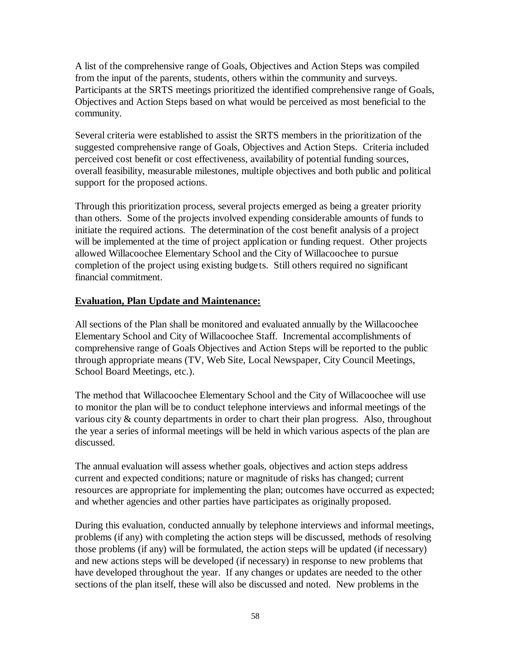A list of the comprehensive range of Goals, Objectives and Action Steps was compiled from the input of the parents, students, others within the community and surveys. Participants at the SRTS meetings prioritized the identified comprehensive range of Goals, Objectives and Action Steps based on what would be perceived as most beneficial to the community.

Several criteria were established to assist the SRTS members in the prioritization of the suggested comprehensive range of Goals, Objectives and Action Steps. Criteria included perceived cost benefit or cost effectiveness, availability of potential funding sources, overall feasibility, measurable milestones, multiple objectives and both public and political support for the proposed actions.

Through this prioritization process, several projects emerged as being a greater priority than others. Some of the projects involved expending considerable amounts of funds to initiate the required actions. The determination of the cost benefit analysis of a project will be implemented at the time of project application or funding request. Other projects allowed Willacoochee Elementary School and the City of Willacoochee to pursue completion of the project using existing budgets. Still others required no significant financial commitment.

### **Evaluation, Plan Update and Maintenance:**

All sections of the Plan shall be monitored and evaluated annually by the Willacoochee Elementary School and City of Willacoochee Staff. Incremental accomplishments of comprehensive range of Goals Objectives and Action Steps will be reported to the public through appropriate means (TV, Web Site, Local Newspaper, City Council Meetings, School Board Meetings, etc.).

The method that Willacoochee Elementary School and the City of Willacoochee will use to monitor the plan will be to conduct telephone interviews and informal meetings of the various city & county departments in order to chart their plan progress. Also, throughout the year a series of informal meetings will be held in which various aspects of the plan are discussed.

The annual evaluation will assess whether goals, objectives and action steps address current and expected conditions; nature or magnitude of risks has changed; current resources are appropriate for implementing the plan; outcomes have occurred as expected; and whether agencies and other parties have participates as originally proposed.

During this evaluation, conducted annually by telephone interviews and informal meetings, problems (if any) with completing the action steps will be discussed, methods of resolving those problems (if any) will be formulated, the action steps will be updated (if necessary) and new actions steps will be developed (if necessary) in response to new problems that have developed throughout the year. If any changes or updates are needed to the other sections of the plan itself, these will also be discussed and noted. New problems in the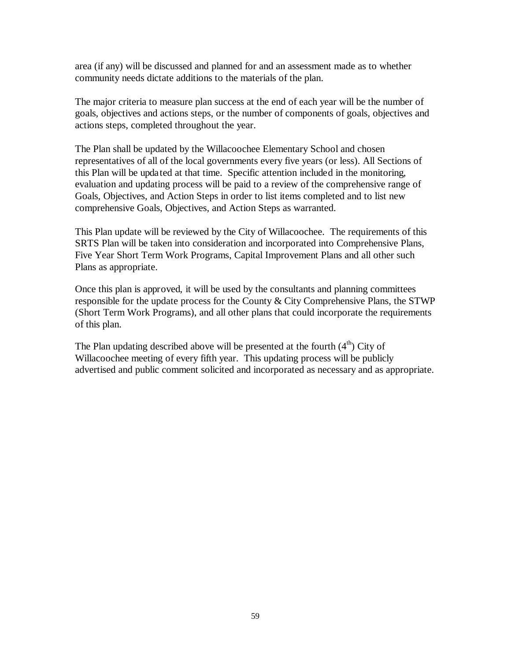area (if any) will be discussed and planned for and an assessment made as to whether community needs dictate additions to the materials of the plan.

The major criteria to measure plan success at the end of each year will be the number of goals, objectives and actions steps, or the number of components of goals, objectives and actions steps, completed throughout the year.

The Plan shall be updated by the Willacoochee Elementary School and chosen representatives of all of the local governments every five years (or less). All Sections of this Plan will be updated at that time. Specific attention included in the monitoring, evaluation and updating process will be paid to a review of the comprehensive range of Goals, Objectives, and Action Steps in order to list items completed and to list new comprehensive Goals, Objectives, and Action Steps as warranted.

This Plan update will be reviewed by the City of Willacoochee. The requirements of this SRTS Plan will be taken into consideration and incorporated into Comprehensive Plans, Five Year Short Term Work Programs, Capital Improvement Plans and all other such Plans as appropriate.

Once this plan is approved, it will be used by the consultants and planning committees responsible for the update process for the County & City Comprehensive Plans, the STWP (Short Term Work Programs), and all other plans that could incorporate the requirements of this plan.

The Plan updating described above will be presented at the fourth  $(4<sup>th</sup>)$  City of Willacoochee meeting of every fifth year. This updating process will be publicly advertised and public comment solicited and incorporated as necessary and as appropriate.